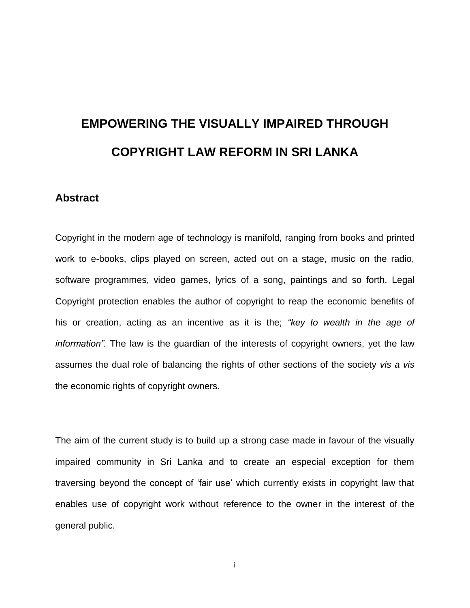# **EMPOWERING THE VISUALLY IMPAIRED THROUGH COPYRIGHT LAW REFORM IN SRI LANKA**

#### <span id="page-0-0"></span>**Abstract**

Copyright in the modern age of technology is manifold, ranging from books and printed work to e-books, clips played on screen, acted out on a stage, music on the radio, software programmes, video games, lyrics of a song, paintings and so forth. Legal Copyright protection enables the author of copyright to reap the economic benefits of his or creation, acting as an incentive as it is the; *"key to wealth in the age of information".* The law is the guardian of the interests of copyright owners, yet the law assumes the dual role of balancing the rights of other sections of the society *vis a vis* the economic rights of copyright owners.

The aim of the current study is to build up a strong case made in favour of the visually impaired community in Sri Lanka and to create an especial exception for them traversing beyond the concept of "fair use" which currently exists in copyright law that enables use of copyright work without reference to the owner in the interest of the general public.

i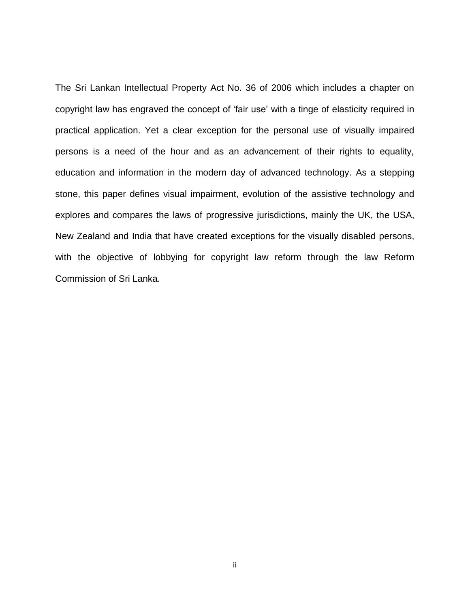The Sri Lankan Intellectual Property Act No. 36 of 2006 which includes a chapter on copyright law has engraved the concept of "fair use" with a tinge of elasticity required in practical application. Yet a clear exception for the personal use of visually impaired persons is a need of the hour and as an advancement of their rights to equality, education and information in the modern day of advanced technology. As a stepping stone, this paper defines visual impairment, evolution of the assistive technology and explores and compares the laws of progressive jurisdictions, mainly the UK, the USA, New Zealand and India that have created exceptions for the visually disabled persons, with the objective of lobbying for copyright law reform through the law Reform Commission of Sri Lanka.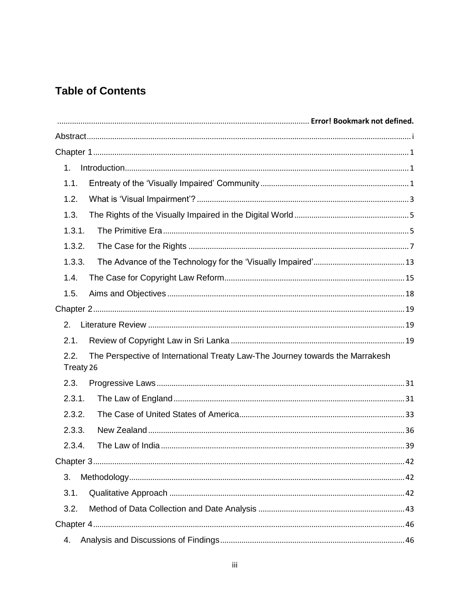# **Table of Contents**

| 1 <sub>1</sub>                                                                                     |  |
|----------------------------------------------------------------------------------------------------|--|
| 1.1.                                                                                               |  |
| 1.2.                                                                                               |  |
| 1.3.                                                                                               |  |
| 1.3.1.                                                                                             |  |
| 1.3.2.                                                                                             |  |
| 1.3.3.                                                                                             |  |
| 1.4.                                                                                               |  |
| 1.5.                                                                                               |  |
|                                                                                                    |  |
| 2.                                                                                                 |  |
| 2.1.                                                                                               |  |
| The Perspective of International Treaty Law-The Journey towards the Marrakesh<br>2.2.<br>Treaty 26 |  |
| 2.3.                                                                                               |  |
| 2.3.1.                                                                                             |  |
| 2.3.2.                                                                                             |  |
| 2.3.3.                                                                                             |  |
| 2.3.4.                                                                                             |  |
|                                                                                                    |  |
| 3.                                                                                                 |  |
| 3.1.                                                                                               |  |
| 3.2.                                                                                               |  |
|                                                                                                    |  |
| 4.                                                                                                 |  |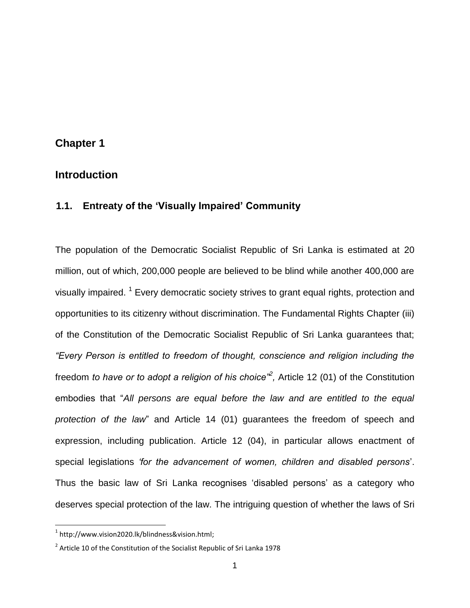### <span id="page-4-0"></span>**Chapter 1**

### <span id="page-4-1"></span>**1. Introduction**

### <span id="page-4-2"></span>**1.1. Entreaty of the "Visually Impaired" Community**

The population of the Democratic Socialist Republic of Sri Lanka is estimated at 20 million, out of which, 200,000 people are believed to be blind while another 400,000 are visually impaired. <sup>1</sup> Every democratic society strives to grant equal rights, protection and opportunities to its citizenry without discrimination. The Fundamental Rights Chapter (iii) of the Constitution of the Democratic Socialist Republic of Sri Lanka guarantees that; *"Every Person is entitled to freedom of thought, conscience and religion including the*  freedom *to have or to adopt a religion of his choice<sup>"2</sup>, Article 12 (01) of the Constitution* embodies that "*All persons are equal before the law and are entitled to the equal protection of the law*" and Article 14 (01) guarantees the freedom of speech and expression, including publication. Article 12 (04), in particular allows enactment of special legislations *"for the advancement of women, children and disabled persons*". Thus the basic law of Sri Lanka recognises "disabled persons" as a category who deserves special protection of the law. The intriguing question of whether the laws of Sri

 $\overline{a}$ 

 $^1$  [http://www.vision2020.lk/blindness&vision.html;](http://www.vision2020.lk/blindness&vision.html)

 $^2$  Article 10 of the Constitution of the Socialist Republic of Sri Lanka 1978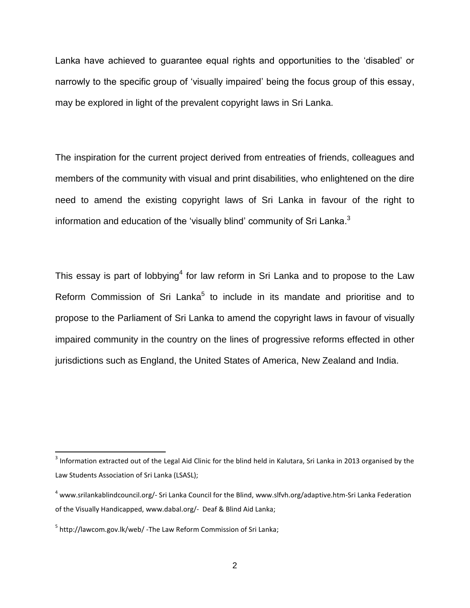Lanka have achieved to guarantee equal rights and opportunities to the "disabled" or narrowly to the specific group of "visually impaired" being the focus group of this essay, may be explored in light of the prevalent copyright laws in Sri Lanka.

The inspiration for the current project derived from entreaties of friends, colleagues and members of the community with visual and print disabilities, who enlightened on the dire need to amend the existing copyright laws of Sri Lanka in favour of the right to information and education of the 'visually blind' community of Sri Lanka. $^3$ 

This essay is part of lobbying<sup>4</sup> for law reform in Sri Lanka and to propose to the Law Reform Commission of Sri Lanka<sup>5</sup> to include in its mandate and prioritise and to propose to the Parliament of Sri Lanka to amend the copyright laws in favour of visually impaired community in the country on the lines of progressive reforms effected in other jurisdictions such as England, the United States of America, New Zealand and India.

 $^3$  Information extracted out of the Legal Aid Clinic for the blind held in Kalutara, Sri Lanka in 2013 organised by the Law Students Association of Sri Lanka (LSASL);

<sup>4</sup> [www.srilankablindcouncil.org/-](http://www.srilankablindcouncil.org/-) Sri Lanka Council for the Blind, [www.slfvh.org/adaptive.htm-S](http://www.slfvh.org/adaptive.htm-)ri Lanka Federation of the Visually Handicapped, [www.dabal.org/-](http://www.dabal.org/-) Deaf & Blind Aid Lanka;

<sup>&</sup>lt;sup>5</sup> <http://lawcom.gov.lk/web/> -The Law Reform Commission of Sri Lanka;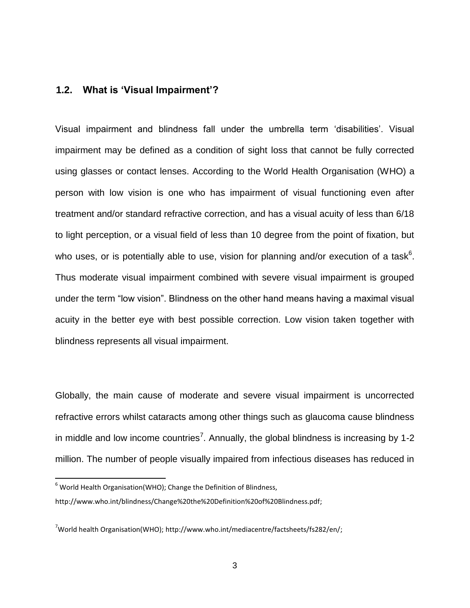#### <span id="page-6-0"></span>**1.2. What is "Visual Impairment"?**

Visual impairment and blindness fall under the umbrella term "disabilities". Visual impairment may be defined as a condition of sight loss that cannot be fully corrected using glasses or contact lenses. According to the World Health Organisation (WHO) a person with low vision is one who has impairment of visual functioning even after treatment and/or standard refractive correction, and has a visual acuity of less than 6/18 to light perception, or a visual field of less than 10 degree from the point of fixation, but who uses, or is potentially able to use, vision for planning and/or execution of a task<sup>6</sup>. Thus moderate visual impairment combined with severe visual impairment is grouped under the term "low vision". Blindness on the other hand means having a maximal visual acuity in the better eye with best possible correction. Low vision taken together with blindness represents all visual impairment.

Globally, the main cause of moderate and severe visual impairment is uncorrected refractive errors whilst cataracts among other things such as glaucoma cause blindness in middle and low income countries<sup>7</sup>. Annually, the global blindness is increasing by 1-2 million. The number of people visually impaired from infectious diseases has reduced in

 $\overline{a}$ 

 $6$  World Health Organisation(WHO); Change the Definition of Blindness,

[http://www.who.int/blindness/Change%20the%20Definition%20of%20Blindness.pdf;](http://www.who.int/blindness/Change%20the%20Definition%20of%20Blindness.pdf)

 $7$ World health Organisation(WHO)[; http://www.who.int/mediacentre/factsheets/fs282/en/;](http://www.who.int/mediacentre/factsheets/fs282/en/)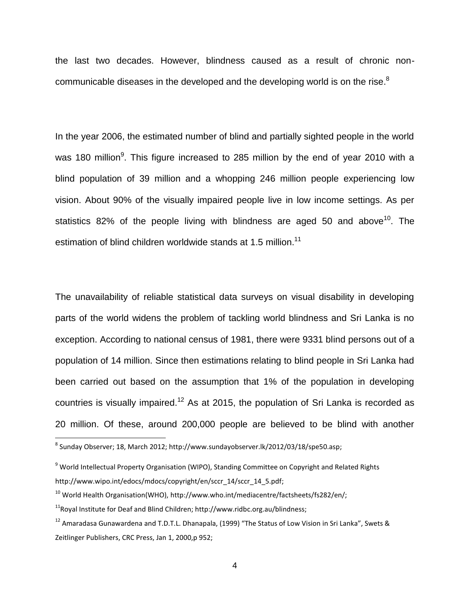the last two decades. However, blindness caused as a result of chronic noncommunicable diseases in the developed and the developing world is on the rise. $^8$ 

In the year 2006, the estimated number of blind and partially sighted people in the world was 180 million<sup>9</sup>. This figure increased to 285 million by the end of year 2010 with a blind population of 39 million and a whopping 246 million people experiencing low vision. About 90% of the visually impaired people live in low income settings. As per statistics 82% of the people living with blindness are aged 50 and above<sup>10</sup>. The estimation of blind children worldwide stands at 1.5 million.<sup>11</sup>

The unavailability of reliable statistical data surveys on visual disability in developing parts of the world widens the problem of tackling world blindness and Sri Lanka is no exception. According to national census of 1981, there were 9331 blind persons out of a population of 14 million. Since then estimations relating to blind people in Sri Lanka had been carried out based on the assumption that 1% of the population in developing countries is visually impaired.<sup>12</sup> As at 2015, the population of Sri Lanka is recorded as 20 million. Of these, around 200,000 people are believed to be blind with another

 8 Sunday Observer; 18, March 2012; [http://www.sundayobserver.lk/2012/03/18/spe50.asp;](http://www.sundayobserver.lk/2012/03/18/spe50.asp)

<sup>&</sup>lt;sup>9</sup> World Intellectual Property Organisation (WIPO), Standing Committee on Copyright and Related Rights [http://www.wipo.int/edocs/mdocs/copyright/en/sccr\\_14/sccr\\_14\\_5.pdf;](http://www.wipo.int/edocs/mdocs/copyright/en/sccr_14/sccr_14_5.pdf)

 $10$  World Health Organisation(WHO), http://www.who.int/mediacentre/factsheets/fs282/en/;

 $11$ Royal Institute for Deaf and Blind Children: http://www.ridbc.org.au/blindness:

<sup>&</sup>lt;sup>12</sup> Amaradasa Gunawardena and T.D.T.L. Dhanapala, (1999) "The Status of Low Vision in Sri Lanka", Swets & Zeitlinger Publishers, CRC Press, Jan 1, 2000,p 952;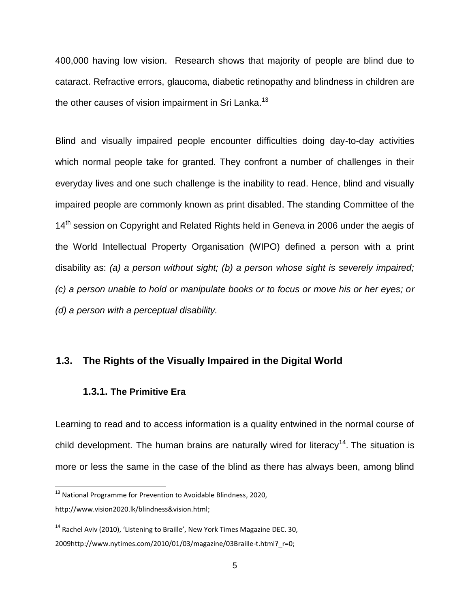400,000 having low vision. Research shows that majority of people are blind due to cataract. Refractive errors, glaucoma, diabetic retinopathy and blindness in children are the other causes of vision impairment in Sri Lanka.<sup>13</sup>

Blind and visually impaired people encounter difficulties doing day-to-day activities which normal people take for granted. They confront a number of challenges in their everyday lives and one such challenge is the inability to read. Hence, blind and visually impaired people are commonly known as print disabled. The standing Committee of the 14<sup>th</sup> session on Copyright and Related Rights held in Geneva in 2006 under the aegis of the World Intellectual Property Organisation (WIPO) defined a person with a print disability as: *(a) a person without sight; (b) a person whose sight is severely impaired; (c) a person unable to hold or manipulate books or to focus or move his or her eyes; or (d) a person with a perceptual disability.*

### <span id="page-8-1"></span><span id="page-8-0"></span>**1.3. The Rights of the Visually Impaired in the Digital World**

#### **1.3.1. The Primitive Era**

 $\overline{\phantom{a}}$ 

Learning to read and to access information is a quality entwined in the normal course of child development. The human brains are naturally wired for literacy<sup>14</sup>. The situation is more or less the same in the case of the blind as there has always been, among blind

 $13$  National Programme for Prevention to Avoidable Blindness, 2020, [http://www.vision2020.lk/blindness&vision.html;](http://www.vision2020.lk/blindness&vision.html)

<sup>&</sup>lt;sup>14</sup> Rachel Aviv (2010), 'Listening to Braille', New York Times Magazine DEC. 30, 2009http://www.nytimes.com/2010/01/03/magazine/03Braille-t.html?\_r=0;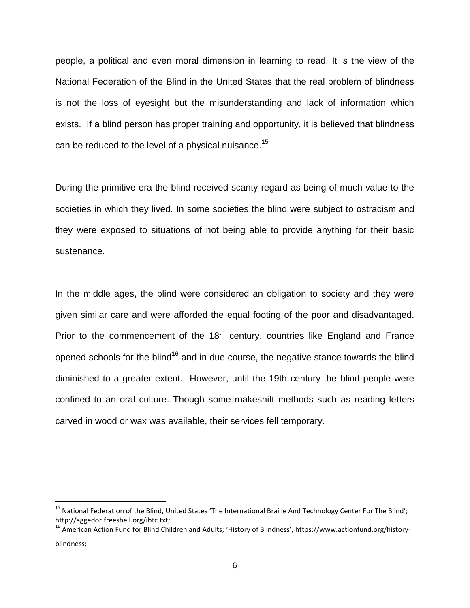people, a political and even moral dimension in learning to read. It is the view of the National Federation of the Blind in the United States that the real problem of blindness is not the loss of eyesight but the misunderstanding and lack of information which exists. If a blind person has proper training and opportunity, it is believed that blindness can be reduced to the level of a physical nuisance.<sup>15</sup>

During the primitive era the blind received scanty regard as being of much value to the societies in which they lived. In some societies the blind were subject to ostracism and they were exposed to situations of not being able to provide anything for their basic sustenance.

In the middle ages, the blind were considered an obligation to society and they were given similar care and were afforded the equal footing of the poor and disadvantaged. Prior to the commencement of the  $18<sup>th</sup>$  century, countries like England and France opened schools for the blind<sup>16</sup> and in due course, the negative stance towards the blind diminished to a greater extent. However, until the 19th century the blind people were confined to an oral culture. Though some makeshift methods such as reading letters carved in wood or wax was available, their services fell temporary.

l

<sup>&</sup>lt;sup>15</sup> National Federation of the Blind, United States 'The International Braille And Technology Center For The Blind'; http://aggedor.freeshell.org/ibtc.txt;

<sup>&</sup>lt;sup>16</sup> American Action Fund for Blind Children and Adults; 'History of Blindness', https://www.actionfund.org/historyblindness;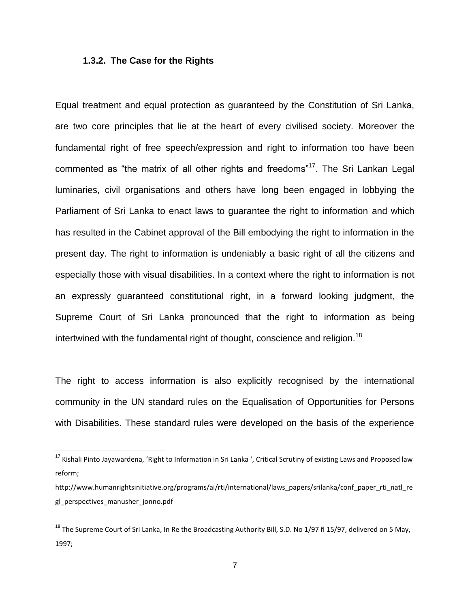#### <span id="page-10-0"></span>**1.3.2. The Case for the Rights**

 $\overline{\phantom{a}}$ 

Equal treatment and equal protection as guaranteed by the Constitution of Sri Lanka, are two core principles that lie at the heart of every civilised society. Moreover the fundamental right of free speech/expression and right to information too have been commented as "the matrix of all other rights and freedoms"<sup>17</sup>. The Sri Lankan Legal luminaries, civil organisations and others have long been engaged in lobbying the Parliament of Sri Lanka to enact laws to guarantee the right to information and which has resulted in the Cabinet approval of the Bill embodying the right to information in the present day. The right to information is undeniably a basic right of all the citizens and especially those with visual disabilities. In a context where the right to information is not an expressly guaranteed constitutional right, in a forward looking judgment, the Supreme Court of Sri Lanka pronounced that the right to information as being intertwined with the fundamental right of thought, conscience and religion.<sup>18</sup>

The right to access information is also explicitly recognised by the international community in the UN standard rules on the Equalisation of Opportunities for Persons with Disabilities. These standard rules were developed on the basis of the experience

 $^{17}$  Kishali Pinto Jayawardena, 'Right to Information in Sri Lanka ', Critical Scrutiny of existing Laws and Proposed law reform;

[http://www.humanrightsinitiative.org/programs/ai/rti/international/laws\\_papers/srilanka/conf\\_paper\\_rti\\_natl\\_re](http://www.humanrightsinitiative.org/programs/ai/rti/international/laws_papers/srilanka/conf_paper_rti_natl_regl_perspectives_manusher_jonno.pdf) [gl\\_perspectives\\_manusher\\_jonno.pdf](http://www.humanrightsinitiative.org/programs/ai/rti/international/laws_papers/srilanka/conf_paper_rti_natl_regl_perspectives_manusher_jonno.pdf)

 $^{18}$  The Supreme Court of Sri Lanka, In Re the Broadcasting Authority Bill, S.D. No 1/97 ñ 15/97, delivered on 5 May, 1997;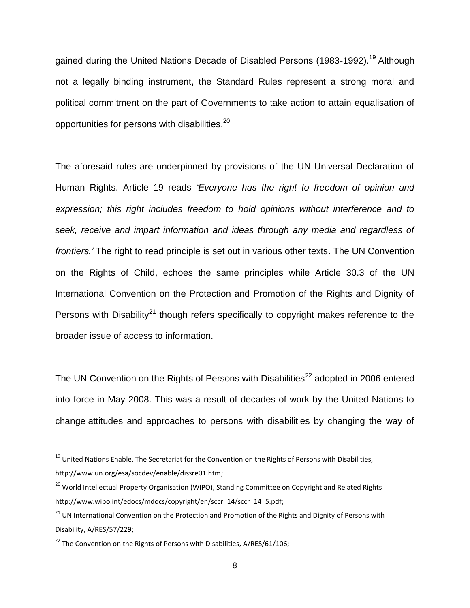gained during the United Nations Decade of Disabled Persons (1983-1992).<sup>19</sup> Although not a legally binding instrument, the Standard Rules represent a strong moral and political commitment on the part of Governments to take action to attain equalisation of opportunities for persons with disabilities. $^{20}$ 

The aforesaid rules are underpinned by provisions of the UN Universal Declaration of Human Rights. Article 19 reads *"Everyone has the right to freedom of opinion and expression; this right includes freedom to hold opinions without interference and to seek, receive and impart information and ideas through any media and regardless of frontiers."* The right to read principle is set out in various other texts. The UN Convention on the Rights of Child, echoes the same principles while Article 30.3 of the UN International Convention on the Protection and Promotion of the Rights and Dignity of Persons with Disability<sup>21</sup> though refers specifically to copyright makes reference to the broader issue of access to information.

The UN Convention on the Rights of Persons with Disabilities<sup>22</sup> adopted in 2006 entered into force in May 2008. This was a result of decades of work by the United Nations to change attitudes and approaches to persons with disabilities by changing the way of

<sup>&</sup>lt;sup>19</sup> United Nations Enable, The Secretariat for the Convention on the Rights of Persons with Disabilities, [http://www.un.org/esa/socdev/enable/dissre01.htm;](http://www.un.org/esa/socdev/enable/dissre01.htm)

<sup>&</sup>lt;sup>20</sup> World Intellectual Property Organisation (WIPO), Standing Committee on Copyright and Related Rights [http://www.wipo.int/edocs/mdocs/copyright/en/sccr\\_14/sccr\\_14\\_5.pdf;](http://www.wipo.int/edocs/mdocs/copyright/en/sccr_14/sccr_14_5.pdf)

<sup>&</sup>lt;sup>21</sup> UN International Convention on the Protection and Promotion of the Rights and Dignity of Persons with Disability, A/RES/57/229;

 $22$  The Convention on the Rights of Persons with Disabilities, [A/RES/61/106;](http://www.un.org/disabilities/default.asp?id=61)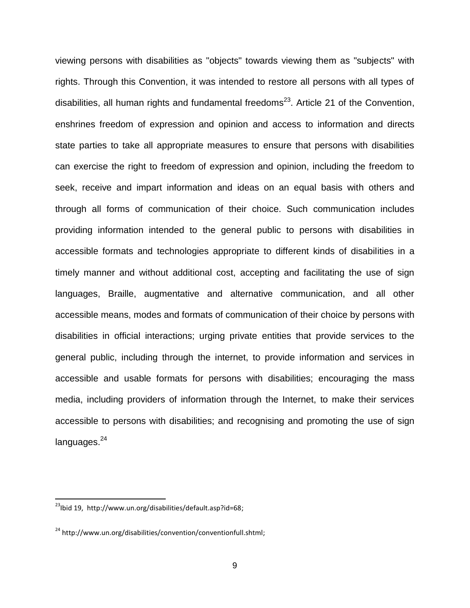viewing persons with disabilities as "objects" towards viewing them as "subjects" with rights. Through this Convention, it was intended to restore all persons with all types of disabilities, all human rights and fundamental freedoms<sup>23</sup>. Article 21 of the Convention, enshrines freedom of expression and opinion and access to information and directs state parties to take all appropriate measures to ensure that persons with disabilities can exercise the right to freedom of expression and opinion, including the freedom to seek, receive and impart information and ideas on an equal basis with others and through all forms of communication of their choice. Such communication includes providing information intended to the general public to persons with disabilities in accessible formats and technologies appropriate to different kinds of disabilities in a timely manner and without additional cost, accepting and facilitating the use of sign languages, Braille, augmentative and alternative communication, and all other accessible means, modes and formats of communication of their choice by persons with disabilities in official interactions; urging private entities that provide services to the general public, including through the internet, to provide information and services in accessible and usable formats for persons with disabilities; encouraging the mass media, including providers of information through the Internet, to make their services accessible to persons with disabilities; and recognising and promoting the use of sign languages.<sup>24</sup>

 $\overline{a}$ 

<sup>&</sup>lt;sup>23</sup>Ibid 19, http://www.un.org/disabilities/default.asp?id=68;

<sup>&</sup>lt;sup>24</sup> http://www.un.org/disabilities/convention/conventionfull.shtml;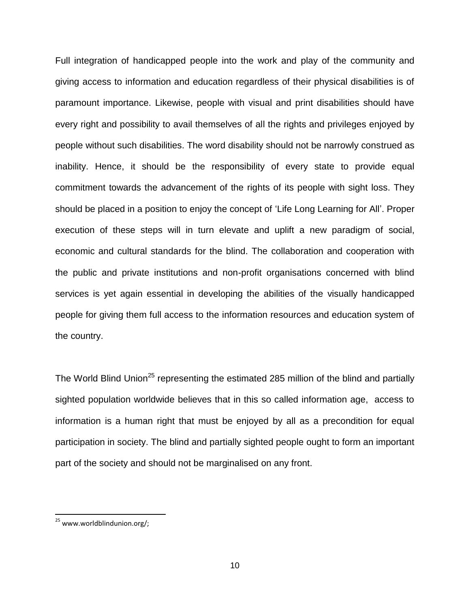Full integration of handicapped people into the work and play of the community and giving access to information and education regardless of their physical disabilities is of paramount importance. Likewise, people with visual and print disabilities should have every right and possibility to avail themselves of all the rights and privileges enjoyed by people without such disabilities. The word disability should not be narrowly construed as inability. Hence, it should be the responsibility of every state to provide equal commitment towards the advancement of the rights of its people with sight loss. They should be placed in a position to enjoy the concept of "Life Long Learning for All". Proper execution of these steps will in turn elevate and uplift a new paradigm of social, economic and cultural standards for the blind. The collaboration and cooperation with the public and private institutions and non-profit organisations concerned with blind services is yet again essential in developing the abilities of the visually handicapped people for giving them full access to the information resources and education system of the country.

The World Blind Union<sup>25</sup> representing the estimated 285 million of the blind and partially sighted population worldwide believes that in this so called information age, access to information is a human right that must be enjoyed by all as a precondition for equal participation in society. The blind and partially sighted people ought to form an important part of the society and should not be marginalised on any front.

l

<sup>&</sup>lt;sup>25</sup> www.worldblindunion.org/;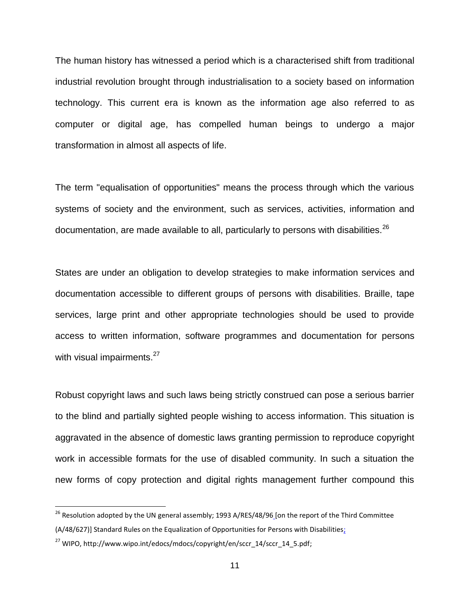The human history has witnessed a period which is a characterised shift from traditional industrial revolution brought through industrialisation to a society based on information technology. This current era is known as the information age also referred to as computer or digital age, has compelled human beings to undergo a major transformation in almost all aspects of life.

The term "equalisation of opportunities" means the process through which the various systems of society and the environment, such as services, activities, information and documentation, are made available to all, particularly to persons with disabilities.<sup>26</sup>

States are under an obligation to develop strategies to make information services and documentation accessible to different groups of persons with disabilities. Braille, tape services, large print and other appropriate technologies should be used to provide access to written information, software programmes and documentation for persons with visual impairments.<sup>27</sup>

Robust copyright laws and such laws being strictly construed can pose a serious barrier to the blind and partially sighted people wishing to access information. This situation is aggravated in the absence of domestic laws granting permission to reproduce copyright work in accessible formats for the use of disabled community. In such a situation the new forms of copy protection and digital rights management further compound this

<sup>&</sup>lt;sup>26</sup> Resolution adopted by the UN general assembly; 1993 A/RES/48/96 [on the report of the Third Committee

<sup>(</sup>A/48/627)] Standard Rules on the Equalization of Opportunities for Persons with Disabilities;

 $^{27}$  WIPO, [http://www.wipo.int/edocs/mdocs/copyright/en/sccr\\_14/sccr\\_14\\_5.pdf;](http://www.wipo.int/edocs/mdocs/copyright/en/sccr_14/sccr_14_5.pdf)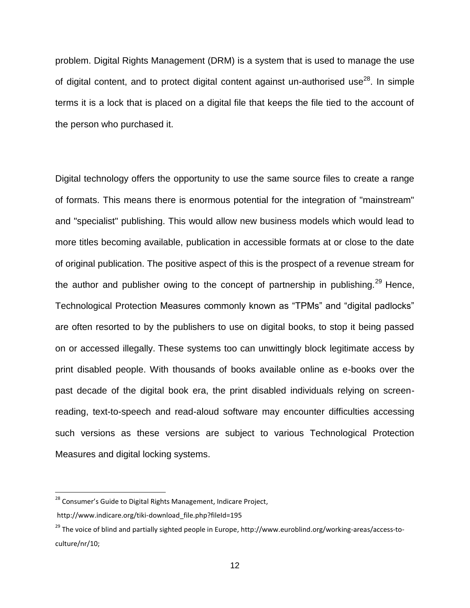problem. Digital Rights Management (DRM) is a system that is used to manage the use of digital content, and to protect digital content against un-authorised use<sup>28</sup>. In simple terms it is a lock that is placed on a digital file that keeps the file tied to the account of the person who purchased it.

Digital technology offers the opportunity to use the same source files to create a range of formats. This means there is enormous potential for the integration of "mainstream" and "specialist" publishing. This would allow new business models which would lead to more titles becoming available, publication in accessible formats at or close to the date of original publication. The positive aspect of this is the prospect of a revenue stream for the author and publisher owing to the concept of partnership in publishing.<sup>29</sup> Hence, Technological Protection Measures commonly known as "TPMs" and "digital padlocks" are often resorted to by the publishers to use on digital books, to stop it being passed on or accessed illegally. These systems too can unwittingly block legitimate access by print disabled people. With thousands of books available online as e-books over the past decade of the digital book era, the print disabled individuals relying on screenreading, text-to-speech and read-aloud software may encounter difficulties accessing such versions as these versions are subject to various Technological Protection Measures and digital locking systems.

 $\overline{a}$ 

<sup>&</sup>lt;sup>28</sup> Consumer's Guide to Digital Rights Management, Indicare Project,

http://www.indicare.org/tiki-download\_file.php?fileId=195

<sup>&</sup>lt;sup>29</sup> The voice of blind and partially sighted people in Europe, [http://www.euroblind.org/working-areas/access-to](http://www.euroblind.org/working-areas/access-to-culture/nr/10)[culture/nr/10;](http://www.euroblind.org/working-areas/access-to-culture/nr/10)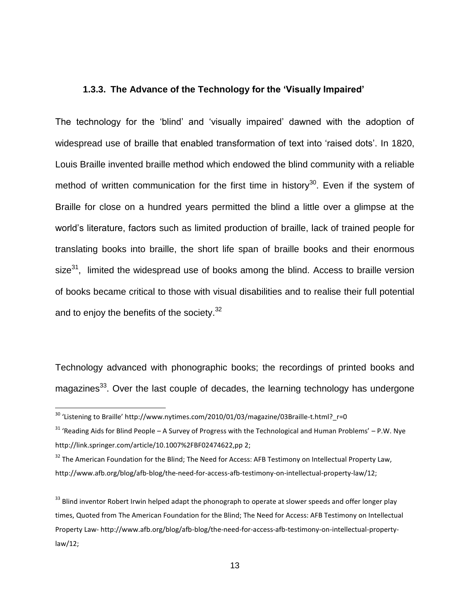#### <span id="page-16-0"></span>**1.3.3. The Advance of the Technology for the "Visually Impaired"**

The technology for the "blind" and "visually impaired" dawned with the adoption of widespread use of braille that enabled transformation of text into "raised dots". In 1820, Louis Braille invented braille method which endowed the blind community with a reliable method of written communication for the first time in history<sup>30</sup>. Even if the system of Braille for close on a hundred years permitted the blind a little over a glimpse at the world"s literature, factors such as limited production of braille, lack of trained people for translating books into braille, the short life span of braille books and their enormous size<sup>31</sup>, limited the widespread use of books among the blind. Access to braille version of books became critical to those with visual disabilities and to realise their full potential and to enjoy the benefits of the society.<sup>32</sup>

Technology advanced with phonographic books; the recordings of printed books and magazines<sup>33</sup>. Over the last couple of decades, the learning technology has undergone

<sup>&</sup>lt;sup>30</sup> 'Listening to Braille' http://www.nytimes.com/2010/01/03/magazine/03Braille-t.html?\_r=0

<sup>31</sup> 'Reading Aids for Blind People – A Survey of Progress with the Technological and Human Problems' – P.W. Nye <http://link.springer.com/article/10.1007%2FBF02474622,pp> 2;

<sup>&</sup>lt;sup>32</sup> The American Foundation for the Blind; The Need for Access: AFB Testimony on Intellectual Property Law, http://www.afb.org/blog/afb-blog/the-need-for-access-afb-testimony-on-intellectual-property-law/12;

<sup>&</sup>lt;sup>33</sup> Blind inventor Robert Irwin helped adapt the phonograph to operate at slower speeds and offer longer play times, Quoted from The American Foundation for the Blind; The Need for Access: AFB Testimony on Intellectual Property Law- http://www.afb.org/blog/afb-blog/the-need-for-access-afb-testimony-on-intellectual-propertylaw/12;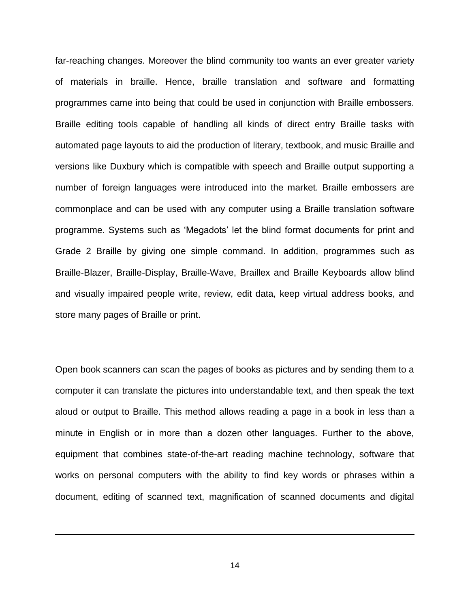far-reaching changes. Moreover the blind community too wants an ever greater variety of materials in braille. Hence, braille translation and software and formatting programmes came into being that could be used in conjunction with Braille embossers. Braille editing tools capable of handling all kinds of direct entry Braille tasks with automated page layouts to aid the production of literary, textbook, and music Braille and versions like Duxbury which is compatible with speech and Braille output supporting a number of foreign languages were introduced into the market. Braille embossers are commonplace and can be used with any computer using a Braille translation software programme. Systems such as "Megadots" let the blind format documents for print and Grade 2 Braille by giving one simple command. In addition, programmes such as Braille-Blazer, Braille-Display, Braille-Wave, Braillex and Braille Keyboards allow blind and visually impaired people write, review, edit data, keep virtual address books, and store many pages of Braille or print.

Open book scanners can scan the pages of books as pictures and by sending them to a computer it can translate the pictures into understandable text, and then speak the text aloud or output to Braille. This method allows reading a page in a book in less than a minute in English or in more than a dozen other languages. Further to the above, equipment that combines state-of-the-art reading machine technology, software that works on personal computers with the ability to find key words or phrases within a document, editing of scanned text, magnification of scanned documents and digital

14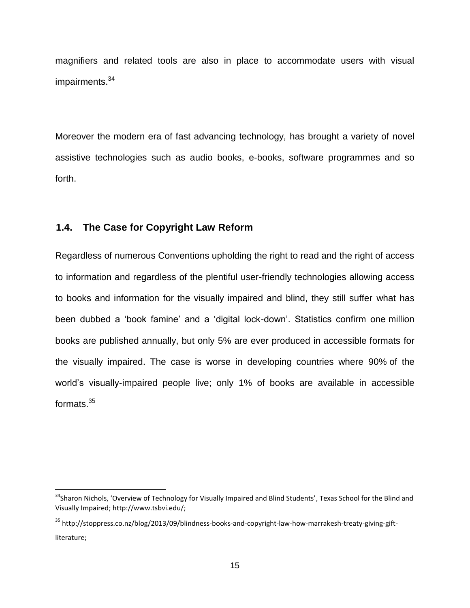magnifiers and related tools are also in place to accommodate users with visual impairments. 34

Moreover the modern era of fast advancing technology, has brought a variety of novel assistive technologies such as audio books, e-books, software programmes and so forth.

#### <span id="page-18-0"></span>**1.4. The Case for Copyright Law Reform**

 $\overline{\phantom{a}}$ 

Regardless of numerous Conventions upholding the right to read and the right of access to information and regardless of the plentiful user-friendly technologies allowing access to books and information for the visually impaired and blind, they still suffer what has been dubbed a 'book famine' and a 'digital lock-down'. Statistics confirm one million books are published annually, but only 5% are ever produced in accessible formats for the visually impaired. The case is worse in developing countries where 90% of the world"s visually-impaired people live; only 1% of books are available in accessible formats.<sup>35</sup>

<sup>&</sup>lt;sup>34</sup>Sharon Nichols, 'Overview of Technology for Visually Impaired and Blind Students', Texas School for the Blind and Visually Impaired; [http://www.tsbvi.edu/;](http://www.tsbvi.edu/)

<sup>35</sup> [http://stoppress.co.nz/blog/2013/09/blindness-books-and-copyright-law-how-marrakesh-treaty-giving-gift](http://stoppress.co.nz/blog/2013/09/blindness-books-and-copyright-law-how-marrakesh-treaty-giving-gift-literature)[literature;](http://stoppress.co.nz/blog/2013/09/blindness-books-and-copyright-law-how-marrakesh-treaty-giving-gift-literature)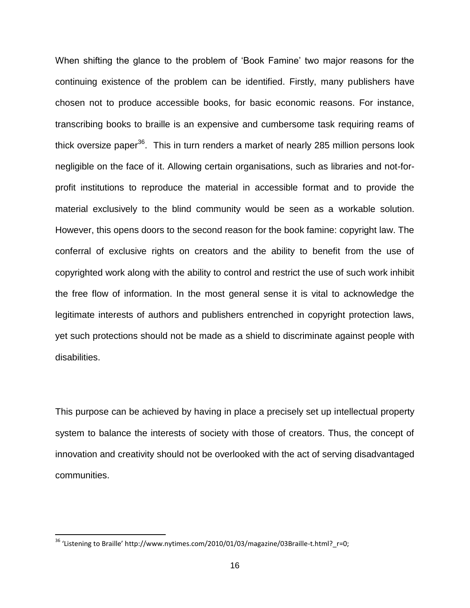When shifting the glance to the problem of "Book Famine" two major reasons for the continuing existence of the problem can be identified. Firstly, many publishers have chosen not to produce accessible books, for basic economic reasons. For instance, transcribing books to braille is an expensive and cumbersome task requiring reams of thick oversize paper<sup>36</sup>. This in turn renders a market of nearly 285 million persons look negligible on the face of it. Allowing certain organisations, such as libraries and not-forprofit institutions to reproduce the material in accessible format and to provide the material exclusively to the blind community would be seen as a workable solution. However, this opens doors to the second reason for the book famine: copyright law. The conferral of exclusive rights on creators and the ability to benefit from the use of copyrighted work along with the ability to control and restrict the use of such work inhibit the free flow of information. In the most general sense it is vital to acknowledge the legitimate interests of authors and publishers entrenched in copyright protection laws, yet such protections should not be made as a shield to discriminate against people with disabilities.

This purpose can be achieved by having in place a precisely set up intellectual property system to balance the interests of society with those of creators. Thus, the concept of innovation and creativity should not be overlooked with the act of serving disadvantaged communities.

<sup>&</sup>lt;sup>36</sup> 'Listening to Braille' http://www.nytimes.com/2010/01/03/magazine/03Braille-t.html? r=0;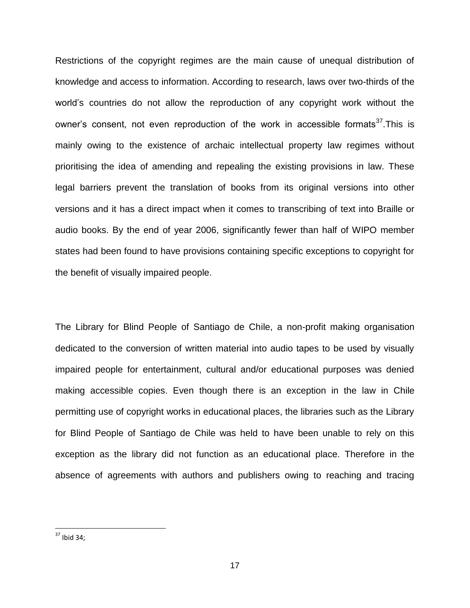Restrictions of the copyright regimes are the main cause of unequal distribution of knowledge and access to information. According to research, laws over two-thirds of the world"s countries do not allow the reproduction of any copyright work without the owner's consent, not even reproduction of the work in accessible formats<sup>37</sup>. This is mainly owing to the existence of archaic intellectual property law regimes without prioritising the idea of amending and repealing the existing provisions in law. These legal barriers prevent the translation of books from its original versions into other versions and it has a direct impact when it comes to transcribing of text into Braille or audio books. By the end of year 2006, significantly fewer than half of WIPO member states had been found to have provisions containing specific exceptions to copyright for the benefit of visually impaired people.

The Library for Blind People of Santiago de Chile, a non-profit making organisation dedicated to the conversion of written material into audio tapes to be used by visually impaired people for entertainment, cultural and/or educational purposes was denied making accessible copies. Even though there is an exception in the law in Chile permitting use of copyright works in educational places, the libraries such as the Library for Blind People of Santiago de Chile was held to have been unable to rely on this exception as the library did not function as an educational place. Therefore in the absence of agreements with authors and publishers owing to reaching and tracing

 $\overline{a}$ 

 $37$  Ibid 34;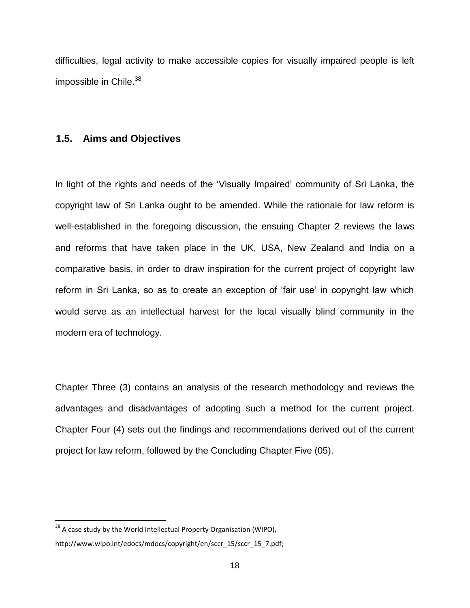difficulties, legal activity to make accessible copies for visually impaired people is left impossible in Chile. 38

### <span id="page-21-0"></span>**1.5. Aims and Objectives**

In light of the rights and needs of the 'Visually Impaired' community of Sri Lanka, the copyright law of Sri Lanka ought to be amended. While the rationale for law reform is well-established in the foregoing discussion, the ensuing Chapter 2 reviews the laws and reforms that have taken place in the UK, USA, New Zealand and India on a comparative basis, in order to draw inspiration for the current project of copyright law reform in Sri Lanka, so as to create an exception of 'fair use' in copyright law which would serve as an intellectual harvest for the local visually blind community in the modern era of technology.

Chapter Three (3) contains an analysis of the research methodology and reviews the advantages and disadvantages of adopting such a method for the current project. Chapter Four (4) sets out the findings and recommendations derived out of the current project for law reform, followed by the Concluding Chapter Five (05).

 $38$  A case study by the World Intellectual Property Organisation (WIPO),

http://www.wipo.int/edocs/mdocs/copyright/en/sccr\_15/sccr\_15\_7.pdf;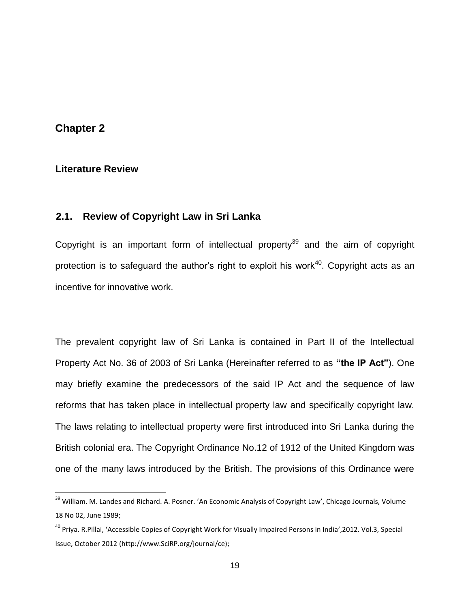### <span id="page-22-0"></span>**Chapter 2**

 $\overline{a}$ 

#### <span id="page-22-1"></span>**2. Literature Review**

### <span id="page-22-2"></span>**2.1. Review of Copyright Law in Sri Lanka**

Copyright is an important form of intellectual property<sup>39</sup> and the aim of copyright protection is to safeguard the author's right to exploit his work<sup>40</sup>. Copyright acts as an incentive for innovative work.

The prevalent copyright law of Sri Lanka is contained in Part II of the Intellectual Property Act No. 36 of 2003 of Sri Lanka (Hereinafter referred to as **"the IP Act"**). One may briefly examine the predecessors of the said IP Act and the sequence of law reforms that has taken place in intellectual property law and specifically copyright law. The laws relating to intellectual property were first introduced into Sri Lanka during the British colonial era. The Copyright Ordinance No.12 of 1912 of the United Kingdom was one of the many laws introduced by the British. The provisions of this Ordinance were

<sup>&</sup>lt;sup>39</sup> William. M. Landes and Richard. A. Posner. 'An Economic Analysis of Copyright Law', Chicago Journals, Volume 18 No 02, June 1989;

<sup>&</sup>lt;sup>40</sup> Priya. R.Pillai, 'Accessible Copies of Copyright Work for Visually Impaired Persons in India',2012. Vol.3, Special Issue, October 2012 (http://www.SciRP.org/journal/ce);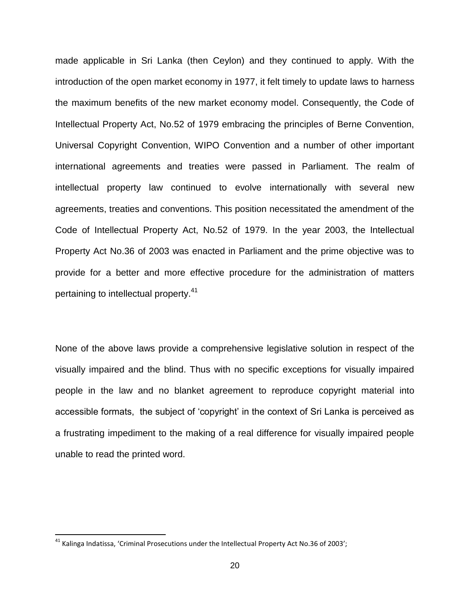made applicable in Sri Lanka (then Ceylon) and they continued to apply. With the introduction of the open market economy in 1977, it felt timely to update laws to harness the maximum benefits of the new market economy model. Consequently, the Code of Intellectual Property Act, No.52 of 1979 embracing the principles of Berne Convention, Universal Copyright Convention, WIPO Convention and a number of other important international agreements and treaties were passed in Parliament. The realm of intellectual property law continued to evolve internationally with several new agreements, treaties and conventions. This position necessitated the amendment of the Code of Intellectual Property Act, No.52 of 1979. In the year 2003, the Intellectual Property Act No.36 of 2003 was enacted in Parliament and the prime objective was to provide for a better and more effective procedure for the administration of matters pertaining to intellectual property.<sup>41</sup>

None of the above laws provide a comprehensive legislative solution in respect of the visually impaired and the blind. Thus with no specific exceptions for visually impaired people in the law and no blanket agreement to reproduce copyright material into accessible formats, the subject of "copyright" in the context of Sri Lanka is perceived as a frustrating impediment to the making of a real difference for visually impaired people unable to read the printed word.

<sup>&</sup>lt;sup>41</sup> Kalinga Indatissa, 'Criminal Prosecutions under the Intellectual Property Act No.36 of 2003';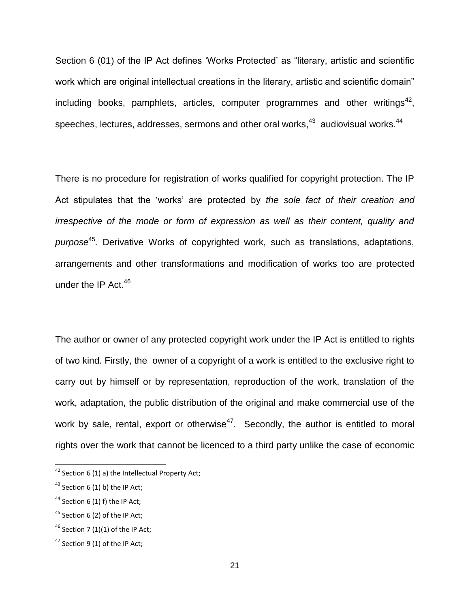Section 6 (01) of the IP Act defines 'Works Protected' as "literary, artistic and scientific work which are original intellectual creations in the literary, artistic and scientific domain" including books, pamphlets, articles, computer programmes and other writings<sup>42</sup>, speeches, lectures, addresses, sermons and other oral works, $^{43}$  audiovisual works. $^{44}$ 

There is no procedure for registration of works qualified for copyright protection. The IP Act stipulates that the "works" are protected by *the sole fact of their creation and irrespective of the mode or form of expression as well as their content, quality and purpose*<sup>45</sup> *.* Derivative Works of copyrighted work, such as translations, adaptations, arrangements and other transformations and modification of works too are protected under the IP Act.<sup>46</sup>

The author or owner of any protected copyright work under the IP Act is entitled to rights of two kind. Firstly, the owner of a copyright of a work is entitled to the exclusive right to carry out by himself or by representation, reproduction of the work, translation of the work, adaptation, the public distribution of the original and make commercial use of the work by sale, rental, export or otherwise<sup>47</sup>. Secondly, the author is entitled to moral rights over the work that cannot be licenced to a third party unlike the case of economic

 $42$  Section 6 (1) a) the Intellectual Property Act;

 $43$  Section 6 (1) b) the IP Act;

 $44$  Section 6 (1) f) the IP Act;

 $45$  Section 6 (2) of the IP Act;

 $46$  Section 7 (1)(1) of the IP Act:

 $47$  Section 9 (1) of the IP Act: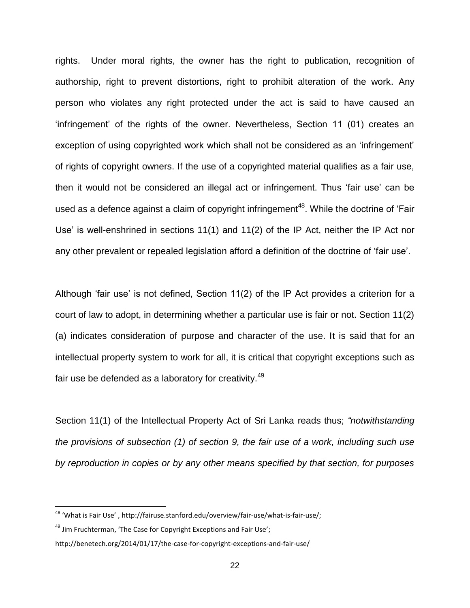rights. Under moral rights, the owner has the right to publication, recognition of authorship, right to prevent distortions, right to prohibit alteration of the work. Any person who violates any right protected under the act is said to have caused an "infringement" of the rights of the owner. Nevertheless, Section 11 (01) creates an exception of using copyrighted work which shall not be considered as an "infringement" of rights of copyright owners. If the use of a copyrighted material qualifies as a fair use, then it would not be considered an illegal act or infringement. Thus "fair use" can be used as a defence against a claim of copyright infringement<sup>48</sup>. While the doctrine of 'Fair Use' is well-enshrined in sections 11(1) and 11(2) of the IP Act, neither the IP Act nor any other prevalent or repealed legislation afford a definition of the doctrine of "fair use".

Although 'fair use' is not defined, Section  $11(2)$  of the IP Act provides a criterion for a court of law to adopt, in determining whether a particular use is fair or not. Section 11(2) (a) indicates consideration of purpose and character of the use. It is said that for an intellectual property system to work for all, it is critical that copyright exceptions such as fair use be defended as a laboratory for creativity.<sup>49</sup>

Section 11(1) of the Intellectual Property Act of Sri Lanka reads thus; *"notwithstanding the provisions of subsection (1) of section 9, the fair use of a work, including such use by reproduction in copies or by any other means specified by that section, for purposes* 

<sup>&</sup>lt;sup>48</sup> 'What is Fair Use', http://fairuse.stanford.edu/overview/fair-use/what-is-fair-use/;

 $49$  Jim Fruchterman, 'The Case for Copyright Exceptions and Fair Use';

http://benetech.org/2014/01/17/the-case-for-copyright-exceptions-and-fair-use/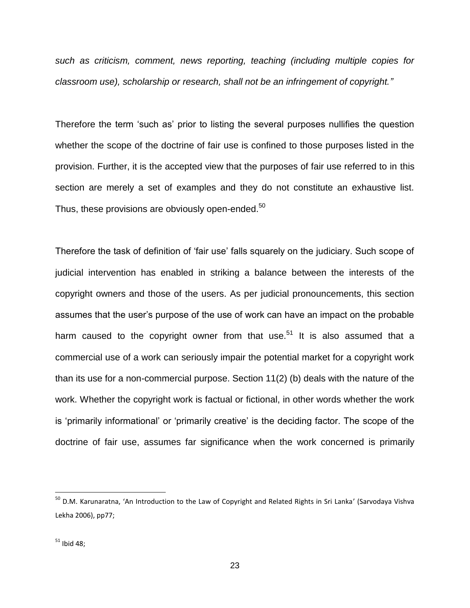*such as criticism, comment, news reporting, teaching (including multiple copies for classroom use), scholarship or research, shall not be an infringement of copyright."*

Therefore the term "such as" prior to listing the several purposes nullifies the question whether the scope of the doctrine of fair use is confined to those purposes listed in the provision. Further, it is the accepted view that the purposes of fair use referred to in this section are merely a set of examples and they do not constitute an exhaustive list. Thus, these provisions are obviously open-ended. $50$ 

Therefore the task of definition of "fair use" falls squarely on the judiciary. Such scope of judicial intervention has enabled in striking a balance between the interests of the copyright owners and those of the users. As per judicial pronouncements, this section assumes that the user"s purpose of the use of work can have an impact on the probable harm caused to the copyright owner from that use.<sup>51</sup> It is also assumed that a commercial use of a work can seriously impair the potential market for a copyright work than its use for a non-commercial purpose. Section 11(2) (b) deals with the nature of the work. Whether the copyright work is factual or fictional, in other words whether the work is "primarily informational" or "primarily creative" is the deciding factor. The scope of the doctrine of fair use, assumes far significance when the work concerned is primarily

 $\overline{a}$ 

<sup>&</sup>lt;sup>50</sup> D.M. Karunaratna, 'An Introduction to the Law of Copyright and Related Rights in Sri Lanka' (Sarvodaya Vishva Lekha 2006), pp77;

 $51$  Ibid 48;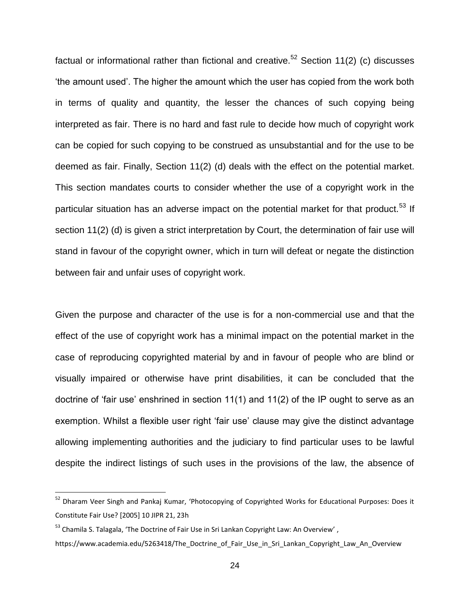factual or informational rather than fictional and creative.<sup>52</sup> Section 11(2) (c) discusses "the amount used". The higher the amount which the user has copied from the work both in terms of quality and quantity, the lesser the chances of such copying being interpreted as fair. There is no hard and fast rule to decide how much of copyright work can be copied for such copying to be construed as unsubstantial and for the use to be deemed as fair. Finally, Section 11(2) (d) deals with the effect on the potential market. This section mandates courts to consider whether the use of a copyright work in the particular situation has an adverse impact on the potential market for that product.<sup>53</sup> If section 11(2) (d) is given a strict interpretation by Court, the determination of fair use will stand in favour of the copyright owner, which in turn will defeat or negate the distinction between fair and unfair uses of copyright work.

Given the purpose and character of the use is for a non-commercial use and that the effect of the use of copyright work has a minimal impact on the potential market in the case of reproducing copyrighted material by and in favour of people who are blind or visually impaired or otherwise have print disabilities, it can be concluded that the doctrine of 'fair use' enshrined in section  $11(1)$  and  $11(2)$  of the IP ought to serve as an exemption. Whilst a flexible user right 'fair use' clause may give the distinct advantage allowing implementing authorities and the judiciary to find particular uses to be lawful despite the indirect listings of such uses in the provisions of the law, the absence of

 $\overline{a}$ 

<sup>&</sup>lt;sup>52</sup> Dharam Veer Singh and Pankaj Kumar, 'Photocopying of Copyrighted Works for Educational Purposes: Does it Constitute Fair Use? [2005] 10 JIPR 21, 23h

<sup>&</sup>lt;sup>53</sup> Chamila S. Talagala, 'The Doctrine of Fair Use in Sri Lankan Copyright Law: An Overview',

https://www.academia.edu/5263418/The\_Doctrine\_of\_Fair\_Use\_in\_Sri\_Lankan\_Copyright\_Law\_An\_Overview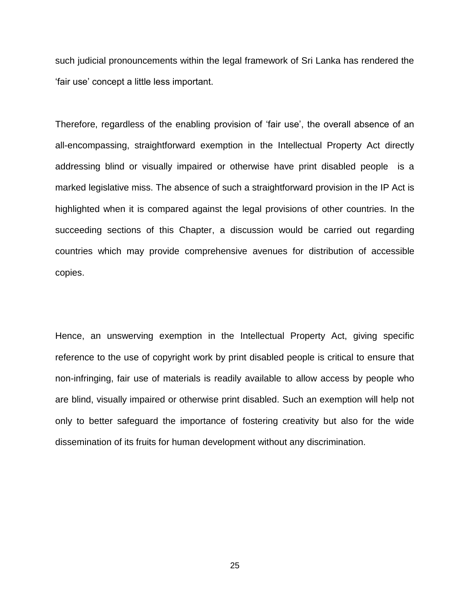such judicial pronouncements within the legal framework of Sri Lanka has rendered the "fair use" concept a little less important.

Therefore, regardless of the enabling provision of 'fair use', the overall absence of an all-encompassing, straightforward exemption in the Intellectual Property Act directly addressing blind or visually impaired or otherwise have print disabled people is a marked legislative miss. The absence of such a straightforward provision in the IP Act is highlighted when it is compared against the legal provisions of other countries. In the succeeding sections of this Chapter, a discussion would be carried out regarding countries which may provide comprehensive avenues for distribution of accessible copies.

Hence, an unswerving exemption in the Intellectual Property Act, giving specific reference to the use of copyright work by print disabled people is critical to ensure that non-infringing, fair use of materials is readily available to allow access by people who are blind, visually impaired or otherwise print disabled. Such an exemption will help not only to better safeguard the importance of fostering creativity but also for the wide dissemination of its fruits for human development without any discrimination.

25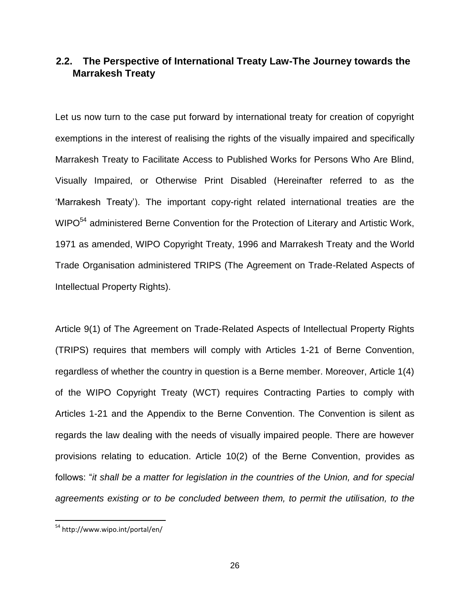### <span id="page-29-0"></span>**2.2. The Perspective of International Treaty Law-The Journey towards the Marrakesh Treaty**

Let us now turn to the case put forward by international treaty for creation of copyright exemptions in the interest of realising the rights of the visually impaired and specifically Marrakesh Treaty to Facilitate Access to Published Works for Persons Who Are Blind, Visually Impaired, or Otherwise Print Disabled (Hereinafter referred to as the "Marrakesh Treaty"). The important copy-right related international treaties are the WIPO<sup>54</sup> administered Berne Convention for the Protection of Literary and Artistic Work, 1971 as amended, WIPO Copyright Treaty, 1996 and Marrakesh Treaty and the World Trade Organisation administered TRIPS (The Agreement on Trade-Related Aspects of Intellectual Property Rights).

Article 9(1) of The Agreement on Trade-Related Aspects of Intellectual Property Rights (TRIPS) requires that members will comply with Articles 1-21 of Berne Convention, regardless of whether the country in question is a Berne member. Moreover, Article 1(4) of the WIPO Copyright Treaty (WCT) requires Contracting Parties to comply with Articles 1-21 and the Appendix to the Berne Convention. The Convention is silent as regards the law dealing with the needs of visually impaired people. There are however provisions relating to education. Article 10(2) of the Berne Convention, provides as follows: "*it shall be a matter for legislation in the countries of the Union, and for special agreements existing or to be concluded between them, to permit the utilisation, to the* 

<sup>&</sup>lt;sup>54</sup> <http://www.wipo.int/portal/en/>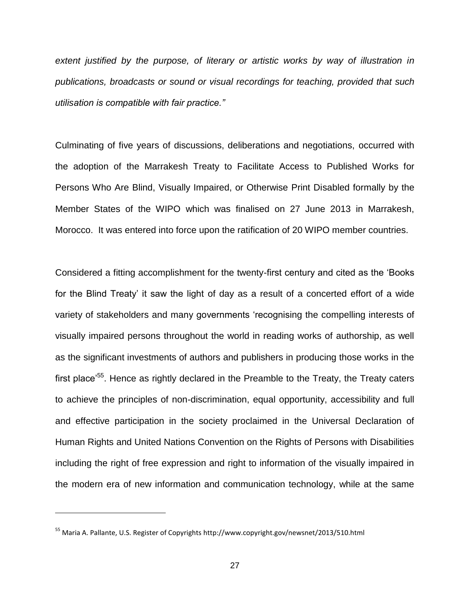*extent justified by the purpose, of literary or artistic works by way of illustration in publications, broadcasts or sound or visual recordings for teaching, provided that such utilisation is compatible with fair practice."*

Culminating of five years of discussions, deliberations and negotiations, occurred with the adoption of the Marrakesh Treaty to Facilitate Access to Published Works for Persons Who Are Blind, Visually Impaired, or Otherwise Print Disabled formally by the Member States of the WIPO which was finalised on 27 June 2013 in Marrakesh, Morocco. It was entered into force upon the ratification of 20 WIPO member countries.

Considered a fitting accomplishment for the twenty-first century and cited as the "Books for the Blind Treaty' it saw the light of day as a result of a concerted effort of a wide variety of stakeholders and many governments "recognising the compelling interests of visually impaired persons throughout the world in reading works of authorship, as well as the significant investments of authors and publishers in producing those works in the first place'<sup>55</sup>. Hence as rightly declared in the Preamble to the Treaty, the Treaty caters to achieve the principles of non-discrimination, equal opportunity, accessibility and full and effective participation in the society proclaimed in the Universal Declaration of Human Rights and United Nations Convention on the Rights of Persons with Disabilities including the right of free expression and right to information of the visually impaired in the modern era of new information and communication technology, while at the same

<sup>55</sup> Maria A. Pallante, U.S. Register of Copyrights<http://www.copyright.gov/newsnet/2013/510.html>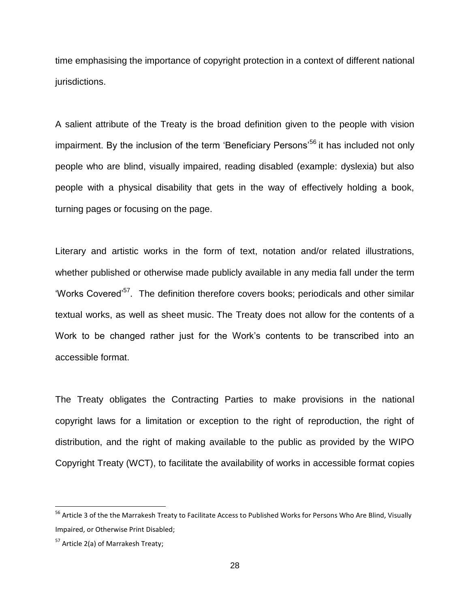time emphasising the importance of copyright protection in a context of different national jurisdictions.

A salient attribute of the Treaty is the broad definition given to the people with vision impairment. By the inclusion of the term 'Beneficiary Persons'<sup>56</sup> it has included not only people who are blind, visually impaired, reading disabled (example: dyslexia) but also people with a physical disability that gets in the way of effectively holding a book, turning pages or focusing on the page.

Literary and artistic works in the form of text, notation and/or related illustrations, whether published or otherwise made publicly available in any media fall under the term 'Works Covered'<sup>57</sup>. The definition therefore covers books; periodicals and other similar textual works, as well as sheet music. The Treaty does not allow for the contents of a Work to be changed rather just for the Work"s contents to be transcribed into an accessible format.

The Treaty obligates the Contracting Parties to make provisions in the national copyright laws for a limitation or exception to the right of reproduction, the right of distribution, and the right of making available to the public as provided by the WIPO Copyright Treaty (WCT), to facilitate the availability of works in accessible format copies

<sup>&</sup>lt;sup>56</sup> Article 3 of the the Marrakesh Treaty to Facilitate Access to Published Works for Persons Who Are Blind, Visually Impaired, or Otherwise Print Disabled;

<sup>&</sup>lt;sup>57</sup> Article 2(a) of Marrakesh Treaty;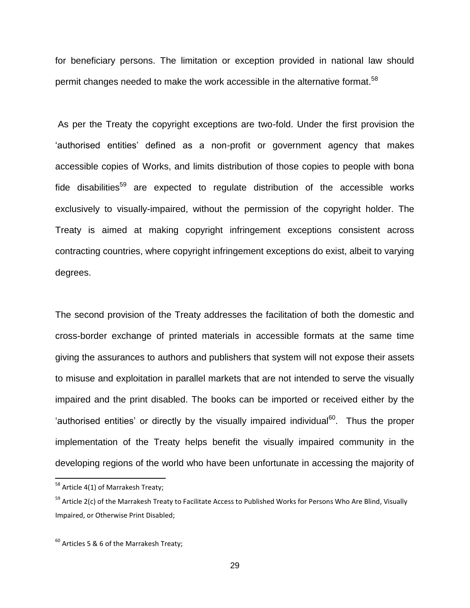for beneficiary persons. The limitation or exception provided in national law should permit changes needed to make the work accessible in the alternative format.<sup>58</sup>

As per the Treaty the copyright exceptions are two-fold. Under the first provision the "authorised entities" defined as a non-profit or government agency that makes accessible copies of Works, and limits distribution of those copies to people with bona fide disabilities<sup>59</sup> are expected to regulate distribution of the accessible works exclusively to visually-impaired, without the permission of the copyright holder. The Treaty is aimed at making copyright infringement exceptions consistent across contracting countries, where copyright infringement exceptions do exist, albeit to varying degrees.

The second provision of the Treaty addresses the facilitation of both the domestic and cross-border exchange of printed materials in accessible formats at the same time giving the assurances to authors and publishers that system will not expose their assets to misuse and exploitation in parallel markets that are not intended to serve the visually impaired and the print disabled. The books can be imported or received either by the 'authorised entities' or directly by the visually impaired individual $^{60}$ . Thus the proper implementation of the Treaty helps benefit the visually impaired community in the developing regions of the world who have been unfortunate in accessing the majority of

 $\overline{a}$ 

<sup>&</sup>lt;sup>58</sup> Article 4(1) of Marrakesh Treaty;

<sup>&</sup>lt;sup>59</sup> Article 2(c) of the Marrakesh Treaty to Facilitate Access to Published Works for Persons Who Are Blind, Visually Impaired, or Otherwise Print Disabled;

 $60$  Articles 5 & 6 of the Marrakesh Treaty;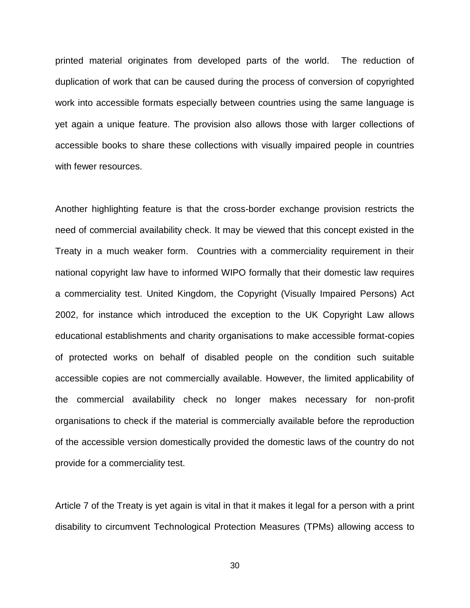printed material originates from developed parts of the world. The reduction of duplication of work that can be caused during the process of conversion of copyrighted work into accessible formats especially between countries using the same language is yet again a unique feature. The provision also allows those with larger collections of accessible books to share these collections with visually impaired people in countries with fewer resources.

Another highlighting feature is that the cross-border exchange provision restricts the need of commercial availability check. It may be viewed that this concept existed in the Treaty in a much weaker form. Countries with a commerciality requirement in their national copyright law have to informed WIPO formally that their domestic law requires a commerciality test. United Kingdom, the Copyright (Visually Impaired Persons) Act 2002, for instance which introduced the exception to the UK Copyright Law allows educational establishments and charity organisations to make accessible format-copies of protected works on behalf of disabled people on the condition such suitable accessible copies are not commercially available. However, the limited applicability of the commercial availability check no longer makes necessary for non-profit organisations to check if the material is commercially available before the reproduction of the accessible version domestically provided the domestic laws of the country do not provide for a commerciality test.

Article 7 of the Treaty is yet again is vital in that it makes it legal for a person with a print disability to circumvent Technological Protection Measures (TPMs) allowing access to

30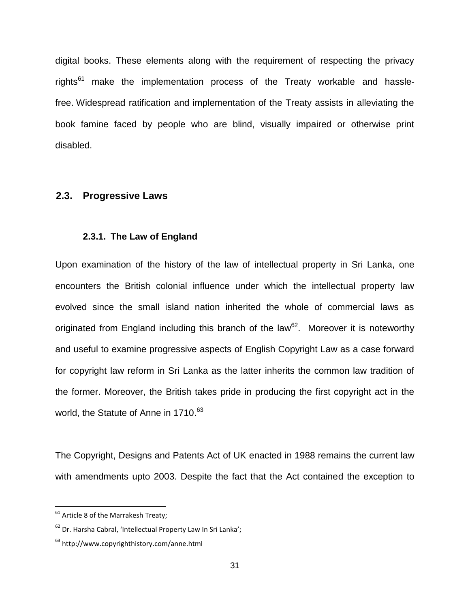digital books. These elements along with the requirement of respecting the privacy rights $^{61}$  make the implementation process of the Treaty workable and hasslefree. Widespread ratification and implementation of the Treaty assists in alleviating the book famine faced by people who are blind, visually impaired or otherwise print disabled.

#### <span id="page-34-0"></span>**2.3. Progressive Laws**

#### <span id="page-34-1"></span>**2.3.1. The Law of England**

Upon examination of the history of the law of intellectual property in Sri Lanka, one encounters the British colonial influence under which the intellectual property law evolved since the small island nation inherited the whole of commercial laws as originated from England including this branch of the law<sup>62</sup>. Moreover it is noteworthy and useful to examine progressive aspects of English Copyright Law as a case forward for copyright law reform in Sri Lanka as the latter inherits the common law tradition of the former. Moreover, the British takes pride in producing the first copyright act in the world, the Statute of Anne in 1710.<sup>63</sup>

The Copyright, Designs and Patents Act of UK enacted in 1988 remains the current law with amendments upto 2003. Despite the fact that the Act contained the exception to

 $61$  Article 8 of the Marrakesh Treaty;

<sup>62</sup> Dr. Harsha Cabral, 'Intellectual Property Law In Sri Lanka';

<sup>63</sup> <http://www.copyrighthistory.com/anne.html>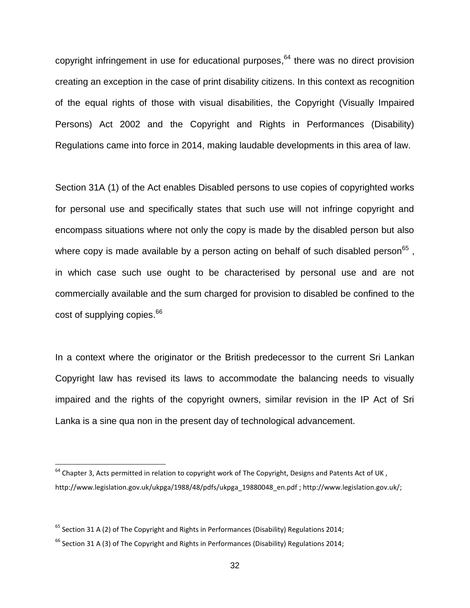copyright infringement in use for educational purposes, <sup>64</sup> there was no direct provision creating an exception in the case of print disability citizens. In this context as recognition of the equal rights of those with visual disabilities, the Copyright (Visually Impaired Persons) Act 2002 and the Copyright and Rights in Performances (Disability) Regulations came into force in 2014, making laudable developments in this area of law.

Section 31A (1) of the Act enables Disabled persons to use copies of copyrighted works for personal use and specifically states that such use will not infringe copyright and encompass situations where not only the copy is made by the disabled person but also where copy is made available by a person acting on behalf of such disabled person $^{65}$  , in which case such use ought to be characterised by personal use and are not commercially available and the sum charged for provision to disabled be confined to the cost of supplying copies.<sup>66</sup>

In a context where the originator or the British predecessor to the current Sri Lankan Copyright law has revised its laws to accommodate the balancing needs to visually impaired and the rights of the copyright owners, similar revision in the IP Act of Sri Lanka is a sine qua non in the present day of technological advancement.

 $64$  Chapter 3, Acts permitted in relation to copyright work of The Copyright, Designs and Patents Act of UK, [http://www.legislation.gov.uk/ukpga/1988/48/pdfs/ukpga\\_19880048\\_en.pdf](http://www.legislation.gov.uk/ukpga/1988/48/pdfs/ukpga_19880048_en.pdf) [; http://www.legislation.gov.uk/;](http://www.legislation.gov.uk/)

 $65$  Section 31 A (2) of The Copyright and Rights in Performances (Disability) Regulations 2014;

 $^{66}$  Section 31 A (3) of The Copyright and Rights in Performances (Disability) Regulations 2014;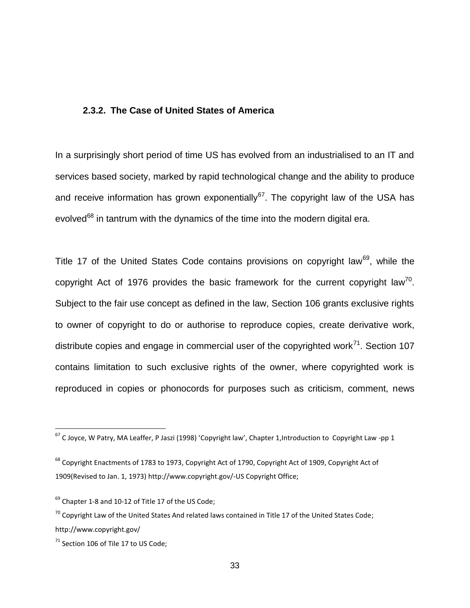#### <span id="page-36-0"></span>**2.3.2. The Case of United States of America**

In a surprisingly short period of time US has evolved from an industrialised to an IT and services based society, marked by rapid technological change and the ability to produce and receive information has grown exponentially<sup>67</sup>. The copyright law of the USA has evolved<sup>68</sup> in tantrum with the dynamics of the time into the modern digital era.

Title 17 of the United States Code contains provisions on copyright law<sup>69</sup>, while the copyright Act of 1976 provides the basic framework for the current copyright law<sup>70</sup>. Subject to the fair use concept as defined in the law, Section 106 grants exclusive rights to owner of copyright to do or authorise to reproduce copies, create derivative work, distribute copies and engage in commercial user of the copyrighted work $^{71}$ . Section 107 contains limitation to such exclusive rights of the owner, where copyrighted work is reproduced in copies or phonocords for purposes such as criticism, comment, news

 $67$  C Joyce, W Patry, MA Leaffer, P Jaszi (1998) '[Copyright law](http://www.case.edu/affil/sce/authorship/Joyce-part1.pdf)', Chapter 1, Introduction to Copyright Law -pp 1

<sup>&</sup>lt;sup>68</sup> [Copyright Enactments of 1783 to 1973,](http://copyright.gov/history/Copyright_Enactments_1783-1973.pdf) [Copyright Act of 1790,](http://copyright.gov/history/1790act.pdf) [Copyright Act of 1909,](http://copyright.gov/history/1909act.pdf) Copyright Act of [1909\(Revised to Jan. 1, 1973\)](http://copyright.gov/history/1909act-1973.pdf) <http://www.copyright.gov/-US> Copyright Office;

 $69$  Chapter 1-8 and 10-12 of Title 17 of the US Code:

 $70$  Copyright Law of the United States And related laws contained in Title 17 of the United States Code; http://www.copyright.gov/

 $71$  Section 106 of Tile 17 to US Code: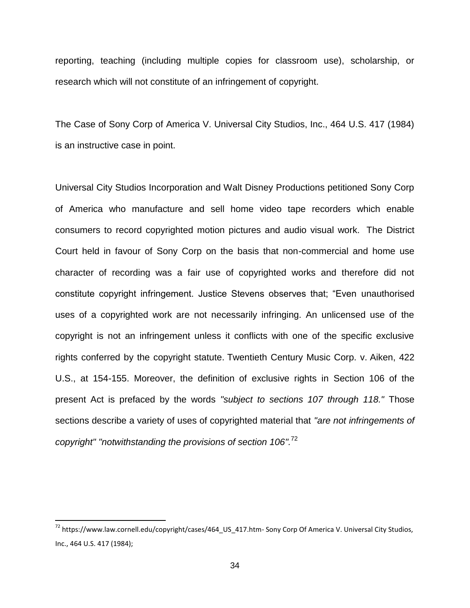reporting, teaching (including multiple copies for classroom use), scholarship, or research which will not constitute of an infringement of copyright.

The Case of Sony Corp of America V. Universal City Studios, Inc., 464 U.S. 417 (1984) is an instructive case in point.

Universal City Studios Incorporation and Walt Disney Productions petitioned Sony Corp of America who manufacture and sell home video tape recorders which enable consumers to record copyrighted motion pictures and audio visual work. The District Court held in favour of Sony Corp on the basis that non-commercial and home use character of recording was a fair use of copyrighted works and therefore did not constitute copyright infringement. Justice Stevens observes that; "Even unauthorised uses of a copyrighted work are not necessarily infringing. An unlicensed use of the copyright is not an infringement unless it conflicts with one of the specific exclusive rights conferred by the copyright statute. Twentieth Century Music Corp. v. Aiken, 422 U.S., at 154-155. Moreover, the definition of exclusive rights in Section 106 of the present Act is prefaced by the words *"subject to sections 107 through 118."* Those sections describe a variety of uses of copyrighted material that *"are not infringements of copyright" "notwithstanding the provisions of section 106".* 72

<sup>&</sup>lt;sup>72</sup> [https://www.law.cornell.edu/copyright/cases/464\\_US\\_417.htm-](https://www.law.cornell.edu/copyright/cases/464_US_417.htm-) Sony Corp Of America V. Universal City Studios, Inc., 464 U.S. 417 (1984);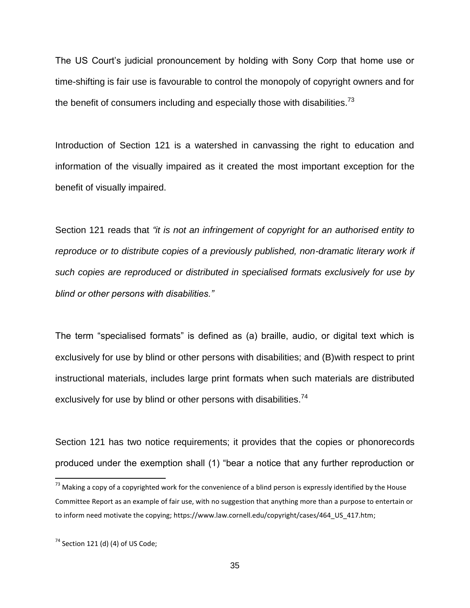The US Court"s judicial pronouncement by holding with Sony Corp that home use or time-shifting is fair use is favourable to control the monopoly of copyright owners and for the benefit of consumers including and especially those with disabilities.<sup>73</sup>

Introduction of Section 121 is a watershed in canvassing the right to education and information of the visually impaired as it created the most important exception for the benefit of visually impaired.

Section 121 reads that *"it is not an infringement of copyright for an authorised entity to*  reproduce or to distribute copies of a previously published, non-dramatic literary work if *such copies are reproduced or distributed in specialised formats exclusively for use by blind or other persons with disabilities."* 

The term "specialised formats" is defined as (a) braille, audio, or digital text which is exclusively for use by blind or other persons with disabilities; and (B)with respect to print instructional materials, includes large print formats when such materials are distributed exclusively for use by blind or other persons with disabilities.<sup>74</sup>

Section 121 has two notice requirements; it provides that the copies or phonorecords produced under the exemption shall (1) "bear a notice that any further reproduction or

 $\overline{a}$ 

 $^{73}$  Making a copy of a copyrighted work for the convenience of a blind person is expressly identified by the House Committee Report as an example of fair use, with no suggestion that anything more than a purpose to entertain or to inform need motivate the copying; [https://www.law.cornell.edu/copyright/cases/464\\_US\\_417.htm;](https://www.law.cornell.edu/copyright/cases/464_US_417.htm)

 $74$  Section 121 (d) (4) of US Code: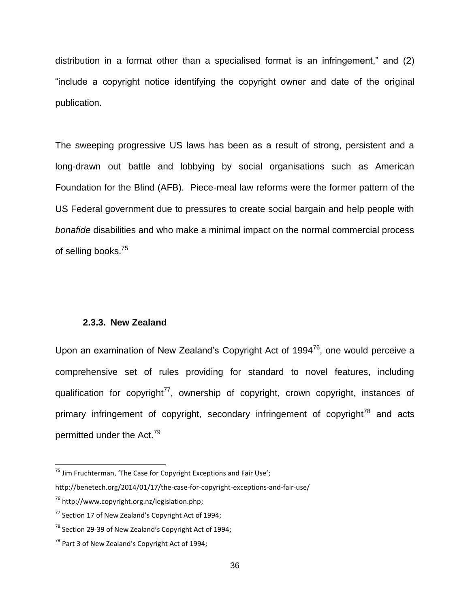distribution in a format other than a specialised format is an infringement," and (2) "include a copyright notice identifying the copyright owner and date of the original publication.

The sweeping progressive US laws has been as a result of strong, persistent and a long-drawn out battle and lobbying by social organisations such as American Foundation for the Blind (AFB). Piece-meal law reforms were the former pattern of the US Federal government due to pressures to create social bargain and help people with *bonafide* disabilities and who make a minimal impact on the normal commercial process of selling books.<sup>75</sup>

#### <span id="page-39-0"></span>**2.3.3. New Zealand**

Upon an examination of New Zealand's Copyright Act of 1994<sup>76</sup>, one would perceive a comprehensive set of rules providing for standard to novel features, including qualification for copyright<sup>77</sup>, ownership of copyright, crown copyright, instances of primary infringement of copyright, secondary infringement of copyright<sup>78</sup> and acts permitted under the Act.<sup>79</sup>

 $75$  Jim Fruchterman, 'The Case for Copyright Exceptions and Fair Use';

http://benetech.org/2014/01/17/the-case-for-copyright-exceptions-and-fair-use/

 $76$  http://www.copyright.org.nz/legislation.php:

 $77$  Section 17 of New Zealand's Copyright Act of 1994;

 $78$  Section 29-39 of New Zealand's Copyright Act of 1994:

 $79$  Part 3 of New Zealand's Copyright Act of 1994: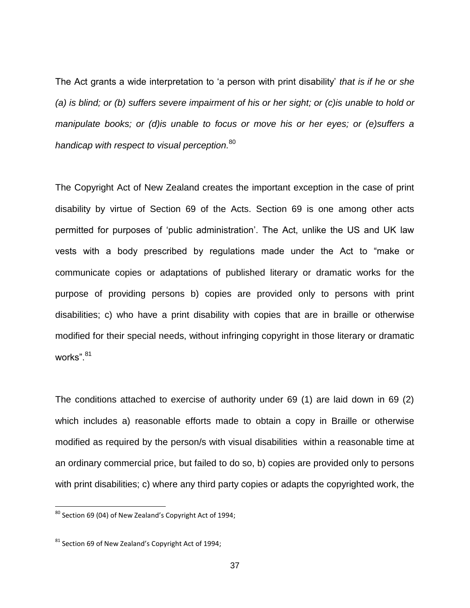The Act grants a wide interpretation to "a person with print disability" *that is if he or she (a) is blind; or (b) suffers severe impairment of his or her sight; or (c)is unable to hold or manipulate books; or (d)is unable to focus or move his or her eyes; or (e)suffers a handicap with respect to visual perception.* 80

The Copyright Act of New Zealand creates the important exception in the case of print disability by virtue of Section 69 of the Acts. Section 69 is one among other acts permitted for purposes of "public administration". The Act, unlike the US and UK law vests with a body prescribed by regulations made under the Act to "make or communicate copies or adaptations of published literary or dramatic works for the purpose of providing persons b) copies are provided only to persons with print disabilities; c) who have a print disability with copies that are in braille or otherwise modified for their special needs, without infringing copyright in those literary or dramatic works".<sup>81</sup>

The conditions attached to exercise of authority under 69 (1) are laid down in 69 (2) which includes a) reasonable efforts made to obtain a copy in Braille or otherwise modified as required by the person/s with visual disabilities within a reasonable time at an ordinary commercial price, but failed to do so, b) copies are provided only to persons with print disabilities; c) where any third party copies or adapts the copyrighted work, the

 $80$  Section 69 (04) of New Zealand's Copyright Act of 1994;

 $81$  Section 69 of New Zealand's Copyright Act of 1994: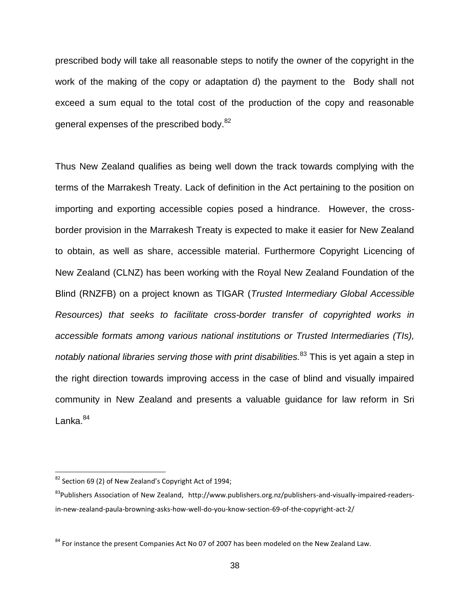prescribed body will take all reasonable steps to notify the owner of the copyright in the work of the making of the copy or adaptation d) the payment to the Body shall not exceed a sum equal to the total cost of the production of the copy and reasonable general expenses of the prescribed body.<sup>82</sup>

Thus New Zealand qualifies as being well down the track towards complying with the terms of the Marrakesh Treaty. Lack of definition in the Act pertaining to the position on importing and exporting accessible copies posed a hindrance. However, the crossborder provision in the Marrakesh Treaty is expected to make it easier for New Zealand to obtain, as well as share, accessible material. Furthermore Copyright Licencing of New Zealand (CLNZ) has been working with the Royal New Zealand Foundation of the Blind (RNZFB) on a project known as TIGAR (*Trusted Intermediary Global Accessible Resources) that seeks to facilitate cross-border transfer of copyrighted works in accessible formats among various national institutions or Trusted Intermediaries (TIs), notably national libraries serving those with print disabilities.* <sup>83</sup> This is yet again a step in the right direction towards improving access in the case of blind and visually impaired community in New Zealand and presents a valuable guidance for law reform in Sri Lanka.<sup>84</sup>

 $82$  Section 69 (2) of New Zealand's Copyright Act of 1994;

<sup>&</sup>lt;sup>83</sup>Publishers Association of New Zealand, [http://www.publishers.org.nz/publishers-and-visually-impaired-readers](http://www.publishers.org.nz/publishers-and-visually-impaired-readers-in-new-zealand-paula-browning-asks-how-well-do-you-know-section-69-of-the-copyright-act-2/)[in-new-zealand-paula-browning-asks-how-well-do-you-know-section-69-of-the-copyright-act-2/](http://www.publishers.org.nz/publishers-and-visually-impaired-readers-in-new-zealand-paula-browning-asks-how-well-do-you-know-section-69-of-the-copyright-act-2/)

<sup>&</sup>lt;sup>84</sup> For instance the present Companies Act No 07 of 2007 has been modeled on the New Zealand Law.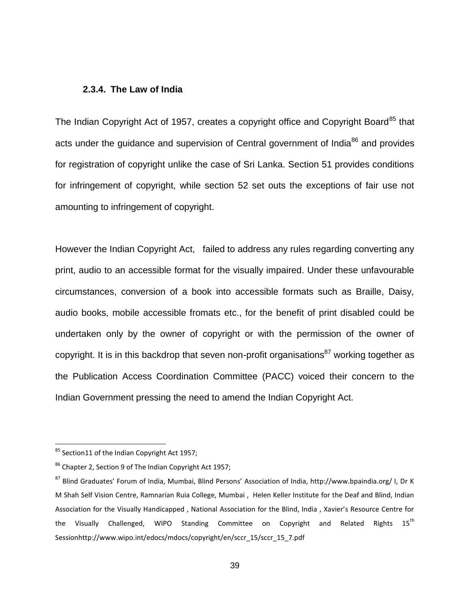#### <span id="page-42-0"></span>**2.3.4. The Law of India**

The Indian Copyright Act of 1957, creates a copyright office and Copyright Board<sup>85</sup> that acts under the guidance and supervision of Central government of India<sup>86</sup> and provides for registration of copyright unlike the case of Sri Lanka. Section 51 provides conditions for infringement of copyright, while section 52 set outs the exceptions of fair use not amounting to infringement of copyright.

However the Indian Copyright Act, failed to address any rules regarding converting any print, audio to an accessible format for the visually impaired. Under these unfavourable circumstances, conversion of a book into accessible formats such as Braille, Daisy, audio books, mobile accessible fromats etc., for the benefit of print disabled could be undertaken only by the owner of copyright or with the permission of the owner of copyright. It is in this backdrop that seven non-profit organisations<sup>87</sup> working together as the Publication Access Coordination Committee (PACC) voiced their concern to the Indian Government pressing the need to amend the Indian Copyright Act.

 $\overline{a}$ 

 $85$  Section11 of the Indian Copyright Act 1957;

<sup>86</sup> Chapter 2, Section 9 of The Indian Copyright Act 1957;

<sup>87</sup> Blind Graduates' Forum of India, Mumbai, Blind Persons' Association of India, http://www.bpaindia.org/ I, Dr K M Shah Self Vision Centre, Ramnarian Ruia College, Mumbai , Helen Keller Institute for the Deaf and Blind, Indian Association for the Visually Handicapped , National Association for the Blind, India , Xavier's Resource Centre for the Visually Challenged, WIPO Standing Committee on Copyright and Related Rights  $15^{th}$ Sessio[nhttp://www.wipo.int/edocs/mdocs/copyright/en/sccr\\_15/sccr\\_15\\_7.pdf](http://www.wipo.int/edocs/mdocs/copyright/en/sccr_15/sccr_15_7.pdf)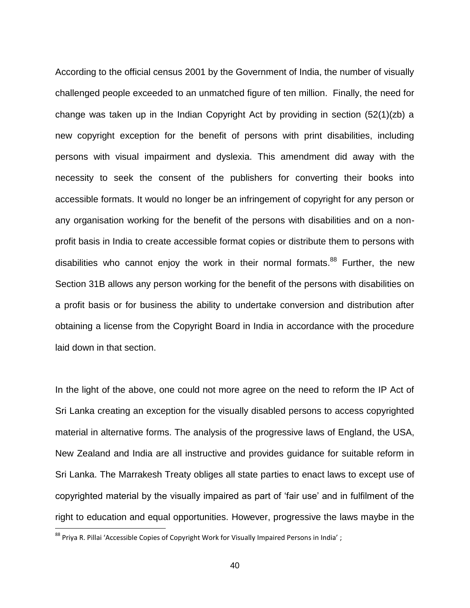According to the official census 2001 by the Government of India, the number of visually challenged people exceeded to an unmatched figure of ten million. Finally, the need for change was taken up in the Indian Copyright Act by providing in section (52(1)(zb) a new copyright exception for the benefit of persons with print disabilities, including persons with visual impairment and dyslexia. This amendment did away with the necessity to seek the consent of the publishers for converting their books into accessible formats. It would no longer be an infringement of copyright for any person or any organisation working for the benefit of the persons with disabilities and on a nonprofit basis in India to create accessible format copies or distribute them to persons with disabilities who cannot enjoy the work in their normal formats.<sup>88</sup> Further, the new Section 31B allows any person working for the benefit of the persons with disabilities on a profit basis or for business the ability to undertake conversion and distribution after obtaining a license from the Copyright Board in India in accordance with the procedure laid down in that section.

In the light of the above, one could not more agree on the need to reform the IP Act of Sri Lanka creating an exception for the visually disabled persons to access copyrighted material in alternative forms. The analysis of the progressive laws of England, the USA, New Zealand and India are all instructive and provides guidance for suitable reform in Sri Lanka. The Marrakesh Treaty obliges all state parties to enact laws to except use of copyrighted material by the visually impaired as part of "fair use" and in fulfilment of the right to education and equal opportunities. However, progressive the laws maybe in the

 $\overline{a}$ 

 $^{88}$  Priya R. Pillai 'Accessible Copies of Copyright Work for Visually Impaired Persons in India' ;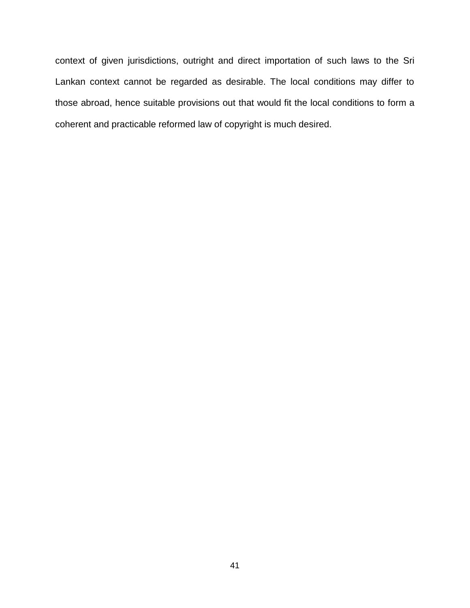context of given jurisdictions, outright and direct importation of such laws to the Sri Lankan context cannot be regarded as desirable. The local conditions may differ to those abroad, hence suitable provisions out that would fit the local conditions to form a coherent and practicable reformed law of copyright is much desired.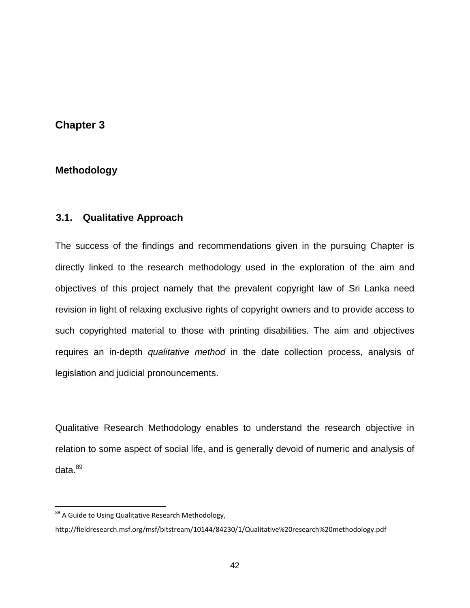### <span id="page-45-0"></span>**Chapter 3**

### <span id="page-45-1"></span>**3. Methodology**

### <span id="page-45-2"></span>**3.1. Qualitative Approach**

The success of the findings and recommendations given in the pursuing Chapter is directly linked to the research methodology used in the exploration of the aim and objectives of this project namely that the prevalent copyright law of Sri Lanka need revision in light of relaxing exclusive rights of copyright owners and to provide access to such copyrighted material to those with printing disabilities. The aim and objectives requires an in-depth *qualitative method* in the date collection process, analysis of legislation and judicial pronouncements.

Qualitative Research Methodology enables to understand the research objective in relation to some aspect of social life, and is generally devoid of numeric and analysis of  $data.<sup>89</sup>$ 

<sup>89</sup> A Guide to Using Qualitative Research Methodology,

<http://fieldresearch.msf.org/msf/bitstream/10144/84230/1/Qualitative%20research%20methodology.pdf>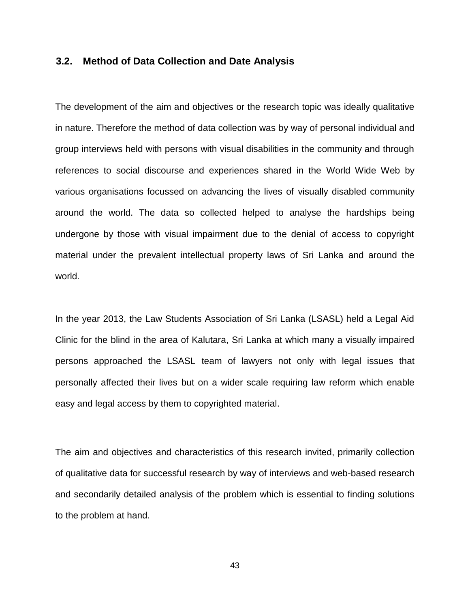#### <span id="page-46-0"></span>**3.2. Method of Data Collection and Date Analysis**

The development of the aim and objectives or the research topic was ideally qualitative in nature. Therefore the method of data collection was by way of personal individual and group interviews held with persons with visual disabilities in the community and through references to social discourse and experiences shared in the World Wide Web by various organisations focussed on advancing the lives of visually disabled community around the world. The data so collected helped to analyse the hardships being undergone by those with visual impairment due to the denial of access to copyright material under the prevalent intellectual property laws of Sri Lanka and around the world.

In the year 2013, the Law Students Association of Sri Lanka (LSASL) held a Legal Aid Clinic for the blind in the area of Kalutara, Sri Lanka at which many a visually impaired persons approached the LSASL team of lawyers not only with legal issues that personally affected their lives but on a wider scale requiring law reform which enable easy and legal access by them to copyrighted material.

The aim and objectives and characteristics of this research invited, primarily collection of qualitative data for successful research by way of interviews and web-based research and secondarily detailed analysis of the problem which is essential to finding solutions to the problem at hand.

43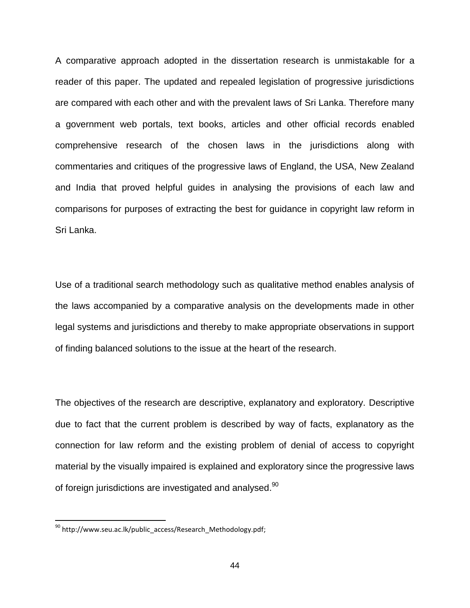A comparative approach adopted in the dissertation research is unmistakable for a reader of this paper. The updated and repealed legislation of progressive jurisdictions are compared with each other and with the prevalent laws of Sri Lanka. Therefore many a government web portals, text books, articles and other official records enabled comprehensive research of the chosen laws in the jurisdictions along with commentaries and critiques of the progressive laws of England, the USA, New Zealand and India that proved helpful guides in analysing the provisions of each law and comparisons for purposes of extracting the best for guidance in copyright law reform in Sri Lanka.

Use of a traditional search methodology such as qualitative method enables analysis of the laws accompanied by a comparative analysis on the developments made in other legal systems and jurisdictions and thereby to make appropriate observations in support of finding balanced solutions to the issue at the heart of the research.

The objectives of the research are descriptive, explanatory and exploratory. Descriptive due to fact that the current problem is described by way of facts, explanatory as the connection for law reform and the existing problem of denial of access to copyright material by the visually impaired is explained and exploratory since the progressive laws of foreign jurisdictions are investigated and analysed. $^{90}$ 

<sup>&</sup>lt;sup>90</sup> [http://www.seu.ac.lk/public\\_access/Research\\_Methodology.pdf;](http://www.seu.ac.lk/public_access/Research_Methodology.pdf)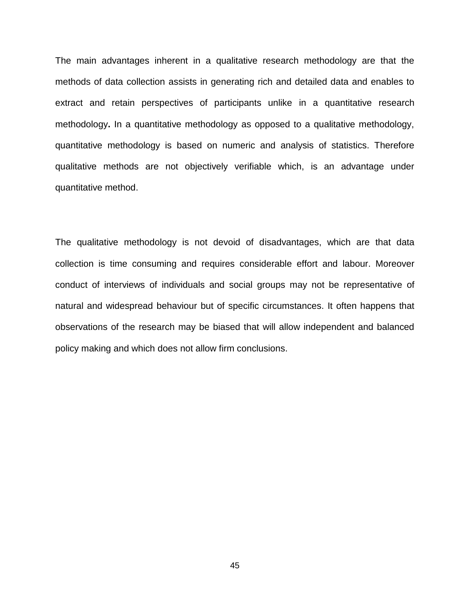The main advantages inherent in a qualitative research methodology are that the methods of data collection assists in generating rich and detailed data and enables to extract and retain perspectives of participants unlike in a quantitative research methodology**.** In a quantitative methodology as opposed to a qualitative methodology, quantitative methodology is based on numeric and analysis of statistics. Therefore qualitative methods are not objectively verifiable which, is an advantage under quantitative method.

The qualitative methodology is not devoid of disadvantages, which are that data collection is time consuming and requires considerable effort and labour. Moreover conduct of interviews of individuals and social groups may not be representative of natural and widespread behaviour but of specific circumstances. It often happens that observations of the research may be biased that will allow independent and balanced policy making and which does not allow firm conclusions.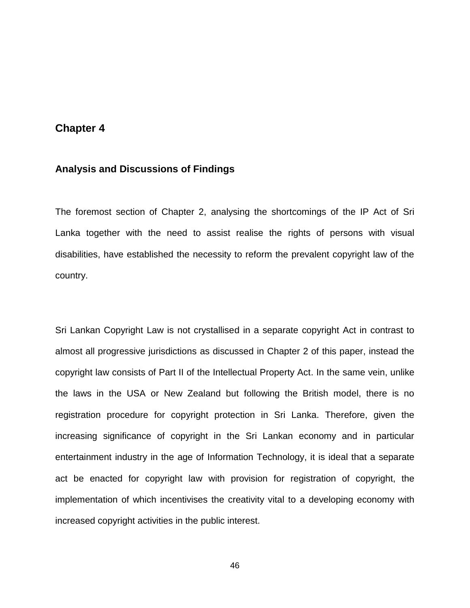### <span id="page-49-0"></span>**Chapter 4**

#### <span id="page-49-1"></span>**4. Analysis and Discussions of Findings**

The foremost section of Chapter 2, analysing the shortcomings of the IP Act of Sri Lanka together with the need to assist realise the rights of persons with visual disabilities, have established the necessity to reform the prevalent copyright law of the country.

Sri Lankan Copyright Law is not crystallised in a separate copyright Act in contrast to almost all progressive jurisdictions as discussed in Chapter 2 of this paper, instead the copyright law consists of Part II of the Intellectual Property Act. In the same vein, unlike the laws in the USA or New Zealand but following the British model, there is no registration procedure for copyright protection in Sri Lanka. Therefore, given the increasing significance of copyright in the Sri Lankan economy and in particular entertainment industry in the age of Information Technology, it is ideal that a separate act be enacted for copyright law with provision for registration of copyright, the implementation of which incentivises the creativity vital to a developing economy with increased copyright activities in the public interest.

46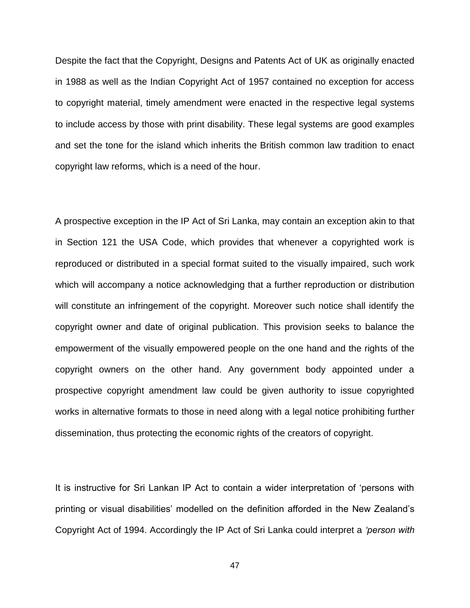Despite the fact that the Copyright, Designs and Patents Act of UK as originally enacted in 1988 as well as the Indian Copyright Act of 1957 contained no exception for access to copyright material, timely amendment were enacted in the respective legal systems to include access by those with print disability. These legal systems are good examples and set the tone for the island which inherits the British common law tradition to enact copyright law reforms, which is a need of the hour.

A prospective exception in the IP Act of Sri Lanka, may contain an exception akin to that in Section 121 the USA Code, which provides that whenever a copyrighted work is reproduced or distributed in a special format suited to the visually impaired, such work which will accompany a notice acknowledging that a further reproduction or distribution will constitute an infringement of the copyright. Moreover such notice shall identify the copyright owner and date of original publication. This provision seeks to balance the empowerment of the visually empowered people on the one hand and the rights of the copyright owners on the other hand. Any government body appointed under a prospective copyright amendment law could be given authority to issue copyrighted works in alternative formats to those in need along with a legal notice prohibiting further dissemination, thus protecting the economic rights of the creators of copyright.

It is instructive for Sri Lankan IP Act to contain a wider interpretation of "persons with printing or visual disabilities" modelled on the definition afforded in the New Zealand"s Copyright Act of 1994. Accordingly the IP Act of Sri Lanka could interpret a *"person with* 

47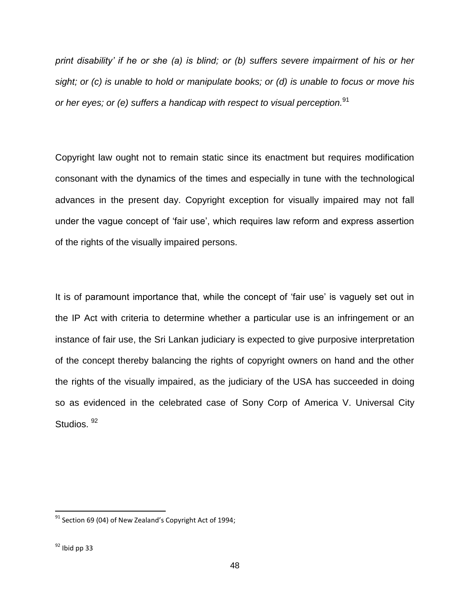*print disability" if he or she (a) is blind; or (b) suffers severe impairment of his or her sight; or (c) is unable to hold or manipulate books; or (d) is unable to focus or move his or her eyes; or (e) suffers a handicap with respect to visual perception.* 91

Copyright law ought not to remain static since its enactment but requires modification consonant with the dynamics of the times and especially in tune with the technological advances in the present day. Copyright exception for visually impaired may not fall under the vague concept of 'fair use', which requires law reform and express assertion of the rights of the visually impaired persons.

It is of paramount importance that, while the concept of 'fair use' is vaguely set out in the IP Act with criteria to determine whether a particular use is an infringement or an instance of fair use, the Sri Lankan judiciary is expected to give purposive interpretation of the concept thereby balancing the rights of copyright owners on hand and the other the rights of the visually impaired, as the judiciary of the USA has succeeded in doing so as evidenced in the celebrated case of Sony Corp of America V. Universal City Studios.<sup>92</sup>

 $\overline{a}$ 

 $91$  Section 69 (04) of New Zealand's Copyright Act of 1994;

 $92$  Ibid pp 33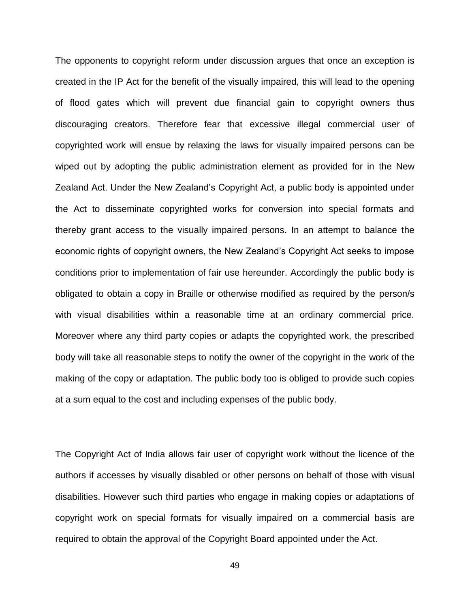The opponents to copyright reform under discussion argues that once an exception is created in the IP Act for the benefit of the visually impaired, this will lead to the opening of flood gates which will prevent due financial gain to copyright owners thus discouraging creators. Therefore fear that excessive illegal commercial user of copyrighted work will ensue by relaxing the laws for visually impaired persons can be wiped out by adopting the public administration element as provided for in the New Zealand Act. Under the New Zealand"s Copyright Act, a public body is appointed under the Act to disseminate copyrighted works for conversion into special formats and thereby grant access to the visually impaired persons. In an attempt to balance the economic rights of copyright owners, the New Zealand"s Copyright Act seeks to impose conditions prior to implementation of fair use hereunder. Accordingly the public body is obligated to obtain a copy in Braille or otherwise modified as required by the person/s with visual disabilities within a reasonable time at an ordinary commercial price. Moreover where any third party copies or adapts the copyrighted work, the prescribed body will take all reasonable steps to notify the owner of the copyright in the work of the making of the copy or adaptation. The public body too is obliged to provide such copies at a sum equal to the cost and including expenses of the public body.

The Copyright Act of India allows fair user of copyright work without the licence of the authors if accesses by visually disabled or other persons on behalf of those with visual disabilities. However such third parties who engage in making copies or adaptations of copyright work on special formats for visually impaired on a commercial basis are required to obtain the approval of the Copyright Board appointed under the Act.

49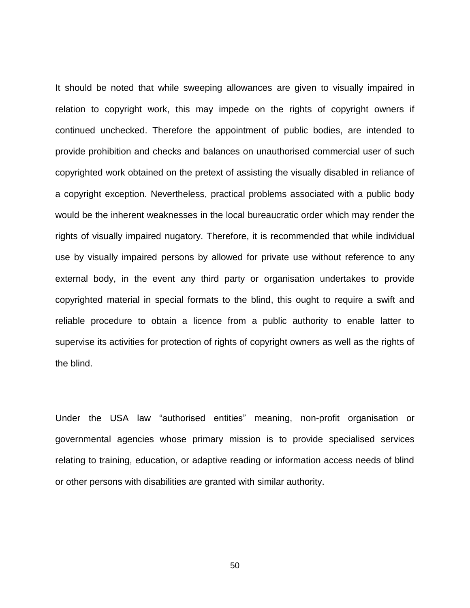It should be noted that while sweeping allowances are given to visually impaired in relation to copyright work, this may impede on the rights of copyright owners if continued unchecked. Therefore the appointment of public bodies, are intended to provide prohibition and checks and balances on unauthorised commercial user of such copyrighted work obtained on the pretext of assisting the visually disabled in reliance of a copyright exception. Nevertheless, practical problems associated with a public body would be the inherent weaknesses in the local bureaucratic order which may render the rights of visually impaired nugatory. Therefore, it is recommended that while individual use by visually impaired persons by allowed for private use without reference to any external body, in the event any third party or organisation undertakes to provide copyrighted material in special formats to the blind, this ought to require a swift and reliable procedure to obtain a licence from a public authority to enable latter to supervise its activities for protection of rights of copyright owners as well as the rights of the blind.

Under the USA law "authorised entities" meaning, non-profit organisation or governmental agencies whose primary mission is to provide specialised services relating to training, education, or adaptive reading or information access needs of blind or other persons with disabilities are granted with similar authority.

50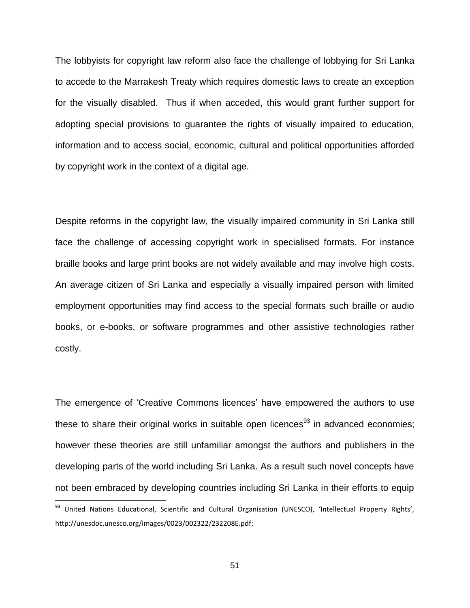The lobbyists for copyright law reform also face the challenge of lobbying for Sri Lanka to accede to the Marrakesh Treaty which requires domestic laws to create an exception for the visually disabled. Thus if when acceded, this would grant further support for adopting special provisions to guarantee the rights of visually impaired to education, information and to access social, economic, cultural and political opportunities afforded by copyright work in the context of a digital age.

Despite reforms in the copyright law, the visually impaired community in Sri Lanka still face the challenge of accessing copyright work in specialised formats. For instance braille books and large print books are not widely available and may involve high costs. An average citizen of Sri Lanka and especially a visually impaired person with limited employment opportunities may find access to the special formats such braille or audio books, or e-books, or software programmes and other assistive technologies rather costly.

The emergence of 'Creative Commons licences' have empowered the authors to use these to share their original works in suitable open licences<sup>93</sup> in advanced economies; however these theories are still unfamiliar amongst the authors and publishers in the developing parts of the world including Sri Lanka. As a result such novel concepts have not been embraced by developing countries including Sri Lanka in their efforts to equip

<sup>&</sup>lt;sup>93</sup> United Nations Educational, Scientific and Cultural Organisation (UNESCO), 'Intellectual Property Rights', [http://unesdoc.unesco.org/images/0023/002322/232208E.pdf;](http://unesdoc.unesco.org/images/0023/002322/232208E.pdf)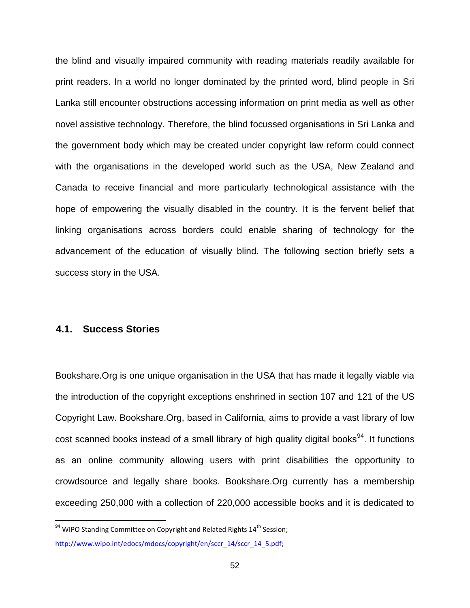the blind and visually impaired community with reading materials readily available for print readers. In a world no longer dominated by the printed word, blind people in Sri Lanka still encounter obstructions accessing information on print media as well as other novel assistive technology. Therefore, the blind focussed organisations in Sri Lanka and the government body which may be created under copyright law reform could connect with the organisations in the developed world such as the USA, New Zealand and Canada to receive financial and more particularly technological assistance with the hope of empowering the visually disabled in the country. It is the fervent belief that linking organisations across borders could enable sharing of technology for the advancement of the education of visually blind. The following section briefly sets a success story in the USA.

#### <span id="page-55-0"></span>**4.1. Success Stories**

 $\overline{\phantom{a}}$ 

Bookshare.Org is one unique organisation in the USA that has made it legally viable via the introduction of the copyright exceptions enshrined in section 107 and 121 of the US Copyright Law. Bookshare.Org, based in California, aims to provide a vast library of low cost scanned books instead of a small library of high quality digital books<sup>94</sup>. It functions as an online community allowing users with print disabilities the opportunity to crowdsource and legally share books. Bookshare.Org currently has a membership exceeding 250,000 with a collection of 220,000 accessible books and it is dedicated to

 $94$  WIPO Standing Committee on Copyright and Related Rights 14<sup>th</sup> Session; [http://www.wipo.int/edocs/mdocs/copyright/en/sccr\\_14/sccr\\_14\\_5.pdf;](http://www.wipo.int/edocs/mdocs/copyright/en/sccr_14/sccr_14_5.pdf)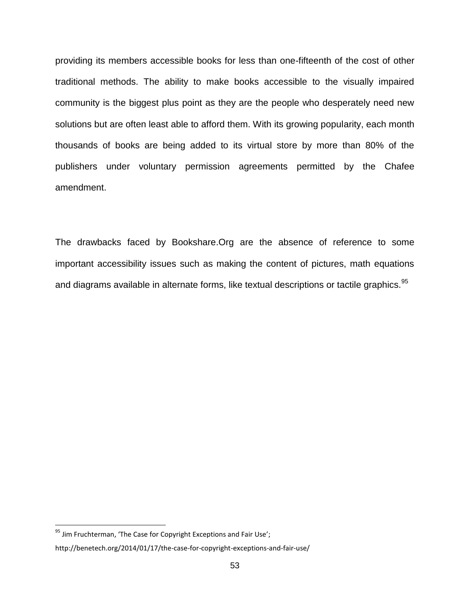providing its members accessible books for less than one-fifteenth of the cost of other traditional methods. The ability to make books accessible to the visually impaired community is the biggest plus point as they are the people who desperately need new solutions but are often least able to afford them. With its growing popularity, each month thousands of books are being added to its virtual store by more than 80% of the publishers under voluntary permission agreements permitted by the Chafee amendment.

The drawbacks faced by Bookshare.Org are the absence of reference to some important accessibility issues such as making the content of pictures, math equations and diagrams available in alternate forms, like textual descriptions or tactile graphics.<sup>95</sup>

 $\overline{a}$ 

 $95$  Jim Fruchterman, 'The Case for Copyright Exceptions and Fair Use';

http://benetech.org/2014/01/17/the-case-for-copyright-exceptions-and-fair-use/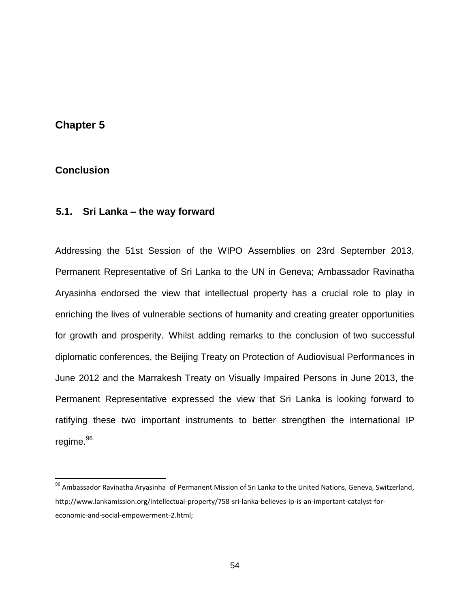### <span id="page-57-0"></span>**Chapter 5**

### <span id="page-57-1"></span>**5. Conclusion**

 $\overline{a}$ 

### <span id="page-57-2"></span>**5.1. Sri Lanka – the way forward**

Addressing the 51st Session of the WIPO Assemblies on 23rd September 2013, Permanent Representative of Sri Lanka to the UN in Geneva; Ambassador Ravinatha Aryasinha endorsed the view that intellectual property has a crucial role to play in enriching the lives of vulnerable sections of humanity and creating greater opportunities for growth and prosperity. Whilst adding remarks to the conclusion of two successful diplomatic conferences, the Beijing Treaty on Protection of Audiovisual Performances in June 2012 and the Marrakesh Treaty on Visually Impaired Persons in June 2013, the Permanent Representative expressed the view that Sri Lanka is looking forward to ratifying these two important instruments to better strengthen the international IP regime. 96

<sup>&</sup>lt;sup>96</sup> Ambassador Ravinatha Aryasinha of Permanent Mission of Sri Lanka to the United Nations, Geneva, Switzerland, [http://www.lankamission.org/intellectual-property/758-sri-lanka-believes-ip-is-an-important-catalyst-for](of%20Permanent%20Mission%20of%20Sri%20Lanka%20to%20the%20United%20Nations,%20Geneva,%20Switzerland,%20http:/www.lankamission.org/intellectual-property/758-sri-lanka-believes-ip-is-an-important-catalyst-for-economic-and-social-empowerment-2.html;)[economic-and-social-empowerment-2.html;](of%20Permanent%20Mission%20of%20Sri%20Lanka%20to%20the%20United%20Nations,%20Geneva,%20Switzerland,%20http:/www.lankamission.org/intellectual-property/758-sri-lanka-believes-ip-is-an-important-catalyst-for-economic-and-social-empowerment-2.html;)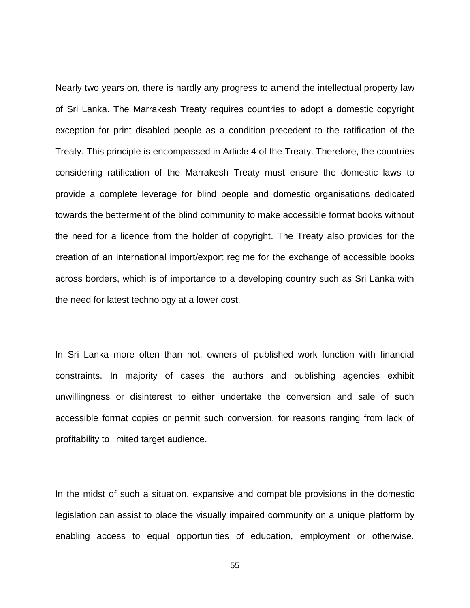Nearly two years on, there is hardly any progress to amend the intellectual property law of Sri Lanka. The Marrakesh Treaty requires countries to adopt a domestic copyright exception for print disabled people as a condition precedent to the ratification of the Treaty. This principle is encompassed in Article 4 of the Treaty. Therefore, the countries considering ratification of the Marrakesh Treaty must ensure the domestic laws to provide a complete leverage for blind people and domestic organisations dedicated towards the betterment of the blind community to make accessible format books without the need for a licence from the holder of copyright. The Treaty also provides for the creation of an international import/export regime for the exchange of accessible books across borders, which is of importance to a developing country such as Sri Lanka with the need for latest technology at a lower cost.

In Sri Lanka more often than not, owners of published work function with financial constraints. In majority of cases the authors and publishing agencies exhibit unwillingness or disinterest to either undertake the conversion and sale of such accessible format copies or permit such conversion, for reasons ranging from lack of profitability to limited target audience.

In the midst of such a situation, expansive and compatible provisions in the domestic legislation can assist to place the visually impaired community on a unique platform by enabling access to equal opportunities of education, employment or otherwise.

55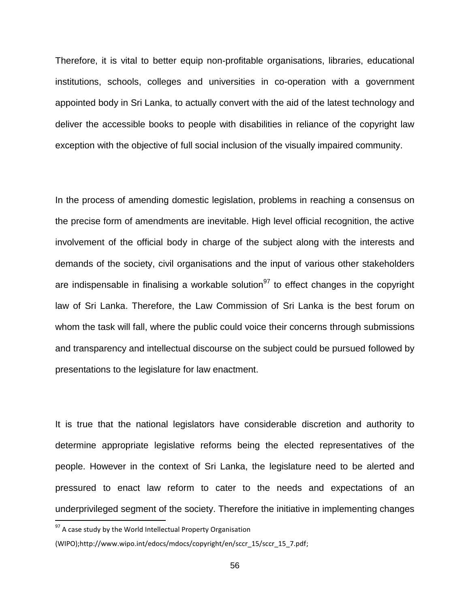Therefore, it is vital to better equip non-profitable organisations, libraries, educational institutions, schools, colleges and universities in co-operation with a government appointed body in Sri Lanka, to actually convert with the aid of the latest technology and deliver the accessible books to people with disabilities in reliance of the copyright law exception with the objective of full social inclusion of the visually impaired community.

In the process of amending domestic legislation, problems in reaching a consensus on the precise form of amendments are inevitable. High level official recognition, the active involvement of the official body in charge of the subject along with the interests and demands of the society, civil organisations and the input of various other stakeholders are indispensable in finalising a workable solution<sup>97</sup> to effect changes in the copyright law of Sri Lanka. Therefore, the Law Commission of Sri Lanka is the best forum on whom the task will fall, where the public could voice their concerns through submissions and transparency and intellectual discourse on the subject could be pursued followed by presentations to the legislature for law enactment.

It is true that the national legislators have considerable discretion and authority to determine appropriate legislative reforms being the elected representatives of the people. However in the context of Sri Lanka, the legislature need to be alerted and pressured to enact law reform to cater to the needs and expectations of an underprivileged segment of the society. Therefore the initiative in implementing changes

 $97$  A case study by the World Intellectual Property Organisation

<sup>(</sup>WIPO);http://www.wipo.int/edocs/mdocs/copyright/en/sccr\_15/sccr\_15\_7.pdf;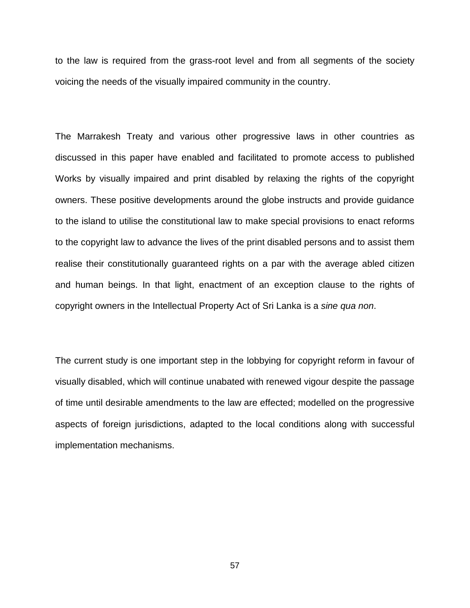to the law is required from the grass-root level and from all segments of the society voicing the needs of the visually impaired community in the country.

The Marrakesh Treaty and various other progressive laws in other countries as discussed in this paper have enabled and facilitated to promote access to published Works by visually impaired and print disabled by relaxing the rights of the copyright owners. These positive developments around the globe instructs and provide guidance to the island to utilise the constitutional law to make special provisions to enact reforms to the copyright law to advance the lives of the print disabled persons and to assist them realise their constitutionally guaranteed rights on a par with the average abled citizen and human beings. In that light, enactment of an exception clause to the rights of copyright owners in the Intellectual Property Act of Sri Lanka is a *sine qua non*.

The current study is one important step in the lobbying for copyright reform in favour of visually disabled, which will continue unabated with renewed vigour despite the passage of time until desirable amendments to the law are effected; modelled on the progressive aspects of foreign jurisdictions, adapted to the local conditions along with successful implementation mechanisms.

57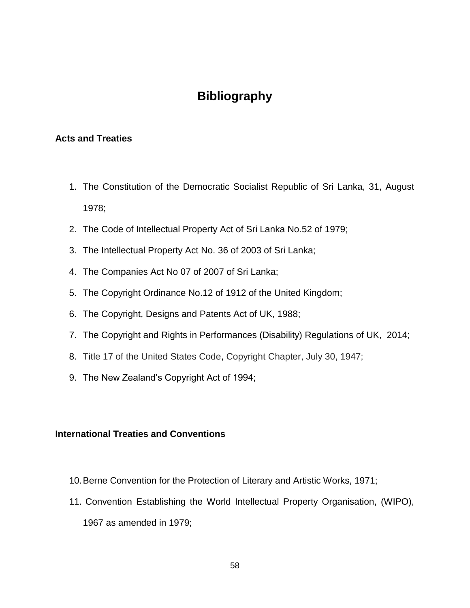## **Bibliography**

### <span id="page-61-1"></span><span id="page-61-0"></span>**Acts and Treaties**

- 1. The Constitution of the Democratic Socialist Republic of Sri Lanka, 31, August 1978;
- 2. The Code of Intellectual Property Act of Sri Lanka No.52 of 1979;
- 3. The Intellectual Property Act No. 36 of 2003 of Sri Lanka;
- 4. The Companies Act No 07 of 2007 of Sri Lanka;
- 5. The Copyright Ordinance No.12 of 1912 of the United Kingdom;
- 6. The Copyright, Designs and Patents Act of UK, 1988;
- 7. The Copyright and Rights in Performances (Disability) Regulations of UK, 2014;
- 8. Title 17 of the United States Code, Copyright Chapter, July 30, 1947;
- 9. The New Zealand"s Copyright Act of 1994;

#### <span id="page-61-2"></span>**International Treaties and Conventions**

- 10.Berne Convention for the Protection of Literary and Artistic Works, 1971;
- 11. Convention Establishing the World Intellectual Property Organisation, (WIPO), 1967 as amended in 1979;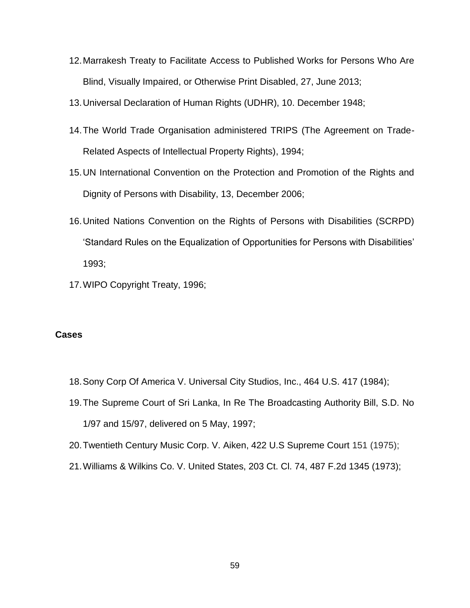- 12.Marrakesh Treaty to Facilitate Access to Published Works for Persons Who Are Blind, Visually Impaired, or Otherwise Print Disabled, 27, June 2013;
- 13.Universal Declaration of Human Rights (UDHR), 10. December 1948;
- 14.The World Trade Organisation administered TRIPS (The Agreement on Trade-Related Aspects of Intellectual Property Rights), 1994;
- 15.UN International Convention on the Protection and Promotion of the Rights and Dignity of Persons with Disability, 13, December 2006;
- 16.United Nations Convention on the Rights of Persons with Disabilities (SCRPD) "Standard Rules on the Equalization of Opportunities for Persons with Disabilities" 1993;
- 17.WIPO Copyright Treaty, 1996;

#### <span id="page-62-0"></span>**Cases**

- 18.Sony Corp Of America V. Universal City Studios, Inc., 464 U.S. 417 (1984);
- 19.The Supreme Court of Sri Lanka, In Re The Broadcasting Authority Bill, S.D. No 1/97 and 15/97, delivered on 5 May, 1997;
- 20.Twentieth Century Music Corp. V. Aiken, 422 U.S Supreme Court 151 (1975);
- 21.Williams & Wilkins Co. V. United States, 203 Ct. Cl. 74, 487 F.2d 1345 (1973);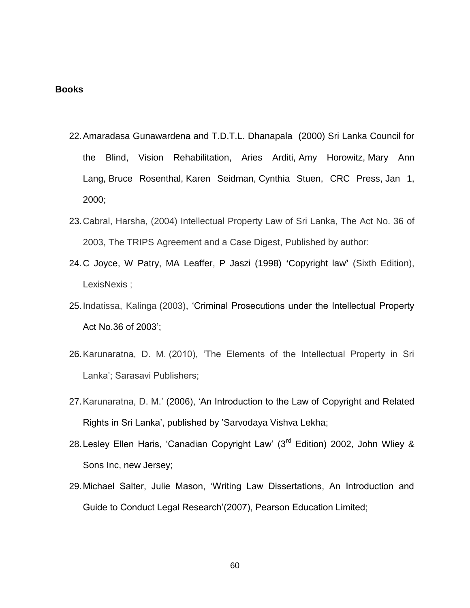#### <span id="page-63-0"></span>**Books**

- 22.Amaradasa Gunawardena and T.D.T.L. Dhanapala (2000) Sri Lanka Council for the Blind, Vision Rehabilitation, Aries Arditi, Amy Horowitz, Mary Ann Lang, Bruce Rosenthal, Karen Seidman, Cynthia Stuen, CRC Press, Jan 1, 2000;
- 23.Cabral, Harsha, (2004) Intellectual Property Law of Sri Lanka, The Act No. 36 of 2003, The TRIPS Agreement and a Case Digest, Published by author:
- 24.C Joyce, W Patry, MA Leaffer, P Jaszi (1998) **"**[Copyright law](http://www.case.edu/affil/sce/authorship/Joyce-part1.pdf)**"** (Sixth Edition), LexisNexis ;
- 25.Indatissa, Kalinga (2003), "Criminal Prosecutions under the Intellectual Property Act No.36 of 2003";
- 26.Karunaratna, D. M. (2010), "The Elements of the Intellectual Property in Sri Lanka"; Sarasavi Publishers;
- 27.Karunaratna, D. M." (2006), "An Introduction to the Law of Copyright and Related Rights in Sri Lanka", published by ["Sarvodaya Vishva Lekha;](http://search.lib.ou.ac.lk/cgi-bin/koha/opac-search.pl?q=pb:Sarvodaya%20Vishva%20Lekha)
- 28. Lesley Ellen Haris, 'Canadian Copyright Law' (3<sup>rd</sup> Edition) 2002, John Wliey & Sons Inc, new Jersey;
- 29.Michael Salter, Julie Mason, "Writing Law Dissertations, An Introduction and Guide to Conduct Legal Research"(2007), Pearson Education Limited;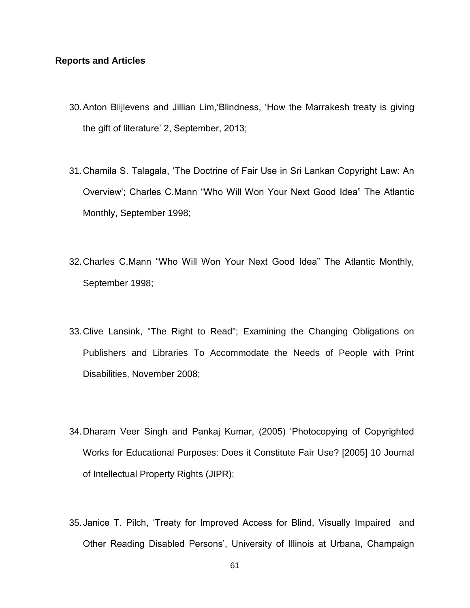#### <span id="page-64-0"></span>**Reports and Articles**

- 30.Anton Blijlevens and Jillian Lim,"Blindness, "How the Marrakesh treaty is giving the gift of literature' 2, September, 2013;
- 31.Chamila S. Talagala, "The Doctrine of Fair Use in Sri Lankan Copyright Law: An Overview"; Charles C.Mann "Who Will Won Your Next Good Idea" The Atlantic Monthly, September 1998;
- 32.Charles C.Mann "Who Will Won Your Next Good Idea" The Atlantic Monthly, September 1998;
- 33.Clive Lansink, "The Right to Read"; Examining the Changing Obligations on Publishers and Libraries To Accommodate the Needs of People with Print Disabilities, November 2008;
- 34.Dharam Veer Singh and Pankaj Kumar, (2005) "Photocopying of Copyrighted Works for Educational Purposes: Does it Constitute Fair Use? [2005] 10 Journal of Intellectual Property Rights (JIPR);
- 35.Janice T. Pilch, "Treaty for Improved Access for Blind, Visually Impaired and Other Reading Disabled Persons", University of Illinois at Urbana, Champaign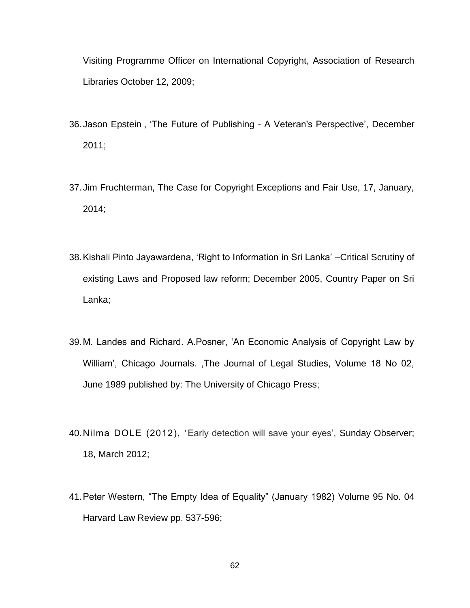Visiting Programme Officer on International Copyright, Association of Research Libraries October 12, 2009;

- 36.Jason Epstein , "The Future of Publishing A Veteran's Perspective", December 2011;
- 37.Jim Fruchterman, The Case for Copyright Exceptions and Fair Use, 17, January, 2014;
- 38.Kishali Pinto Jayawardena, "Right to Information in Sri Lanka" –Critical Scrutiny of existing Laws and Proposed law reform; December 2005, Country Paper on Sri Lanka;
- 39.M. Landes and Richard. A.Posner, "An Economic Analysis of Copyright Law by William", Chicago Journals. ,The Journal of Legal Studies, Volume 18 No 02, June 1989 published by: [The University of Chicago Press;](http://www.jstor.org/action/showPublisher?publisherCode=ucpress)
- 40. Nilma DOLE (2012), 'Early detection will save your eyes', Sunday Observer; 18, March 2012;
- 41.Peter Western, "The Empty Idea of Equality" (January 1982) Volume 95 No. 04 Harvard Law Review pp. 537-596;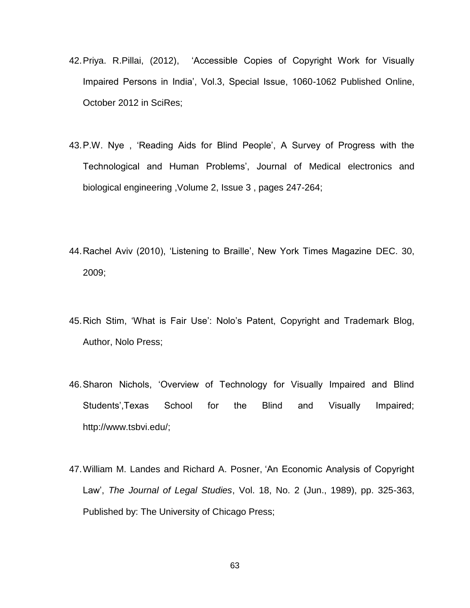- 42.Priya. R.Pillai, (2012), "Accessible Copies of Copyright Work for Visually Impaired Persons in India", Vol.3, Special Issue, 1060-1062 Published Online, October 2012 in SciRes;
- 43.P.W. Nye , "Reading Aids for Blind People", A Survey of Progress with the Technological and Human Problems', Journal of Medical [electronics](http://link.springer.com/journal/11517) and biological [engineering](http://link.springer.com/journal/11517) ,Volume 2, Issue 3 , pages [247-264;](http://link.springer.com/journal/11517/2/3/page/1)
- 44.Rachel Aviv (2010), "Listening to Braille", New York Times Magazine DEC. 30, 2009;
- 45.Rich Stim, "What is Fair Use": Nolo"s Patent, Copyright and Trademark Blog, Author, Nolo Press;
- 46.Sharon Nichols, "Overview of Technology for Visually Impaired and Blind Students",Texas School for the Blind and Visually Impaired; [http://www.tsbvi.edu/;](http://www.tsbvi.edu/)
- 47.William M. Landes and Richard A. Posner, "An Economic Analysis of Copyright Law", *The Journal of Legal Studies*, Vol. 18, No. 2 (Jun., 1989), pp. 325-363, Published by: [The University of Chicago](http://www.jstor.org/action/showPublisher?publisherCode=ucpress) Press;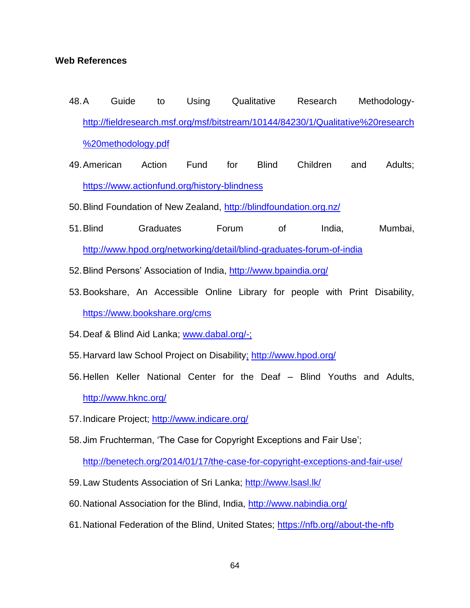#### <span id="page-67-0"></span>**Web References**

- 48.A Guide to Using Qualitative Research Methodology[http://fieldresearch.msf.org/msf/bitstream/10144/84230/1/Qualitative%20research](http://fieldresearch.msf.org/msf/bitstream/10144/84230/1/Qualitative%20research%20methodology.pdf) [%20methodology.pdf](http://fieldresearch.msf.org/msf/bitstream/10144/84230/1/Qualitative%20research%20methodology.pdf)
- 49.American Action Fund for Blind Children and Adults; <https://www.actionfund.org/history-blindness>
- 50.Blind Foundation of New Zealand,<http://blindfoundation.org.nz/>
- 51.Blind Graduates Forum of India, Mumbai, <http://www.hpod.org/networking/detail/blind-graduates-forum-of-india>
- 52.Blind Persons" Association of India,<http://www.bpaindia.org/>
- 53.Bookshare, An Accessible Online Library for people with Print Disability, <https://www.bookshare.org/cms>
- 54.Deaf & Blind Aid Lanka; [www.dabal.org/-;](http://www.dabal.org/-)
- 55.Harvard law School Project on Disability; http://www.hpod.org/
- 56.Hellen Keller National Center for the Deaf Blind Youths and Adults, <http://www.hknc.org/>
- 57.Indicare Project;<http://www.indicare.org/>
- 58.Jim Fruchterman, "The Case for Copyright Exceptions and Fair Use";

<http://benetech.org/2014/01/17/the-case-for-copyright-exceptions-and-fair-use/>

- 59.Law Students Association of Sri Lanka;<http://www.lsasl.lk/>
- 60.National Association for the Blind, India,<http://www.nabindia.org/>
- 61.National Federation of the Blind, United States; [https://nfb.org//about-the-nfb](https://nfb.org/about-the-nfb)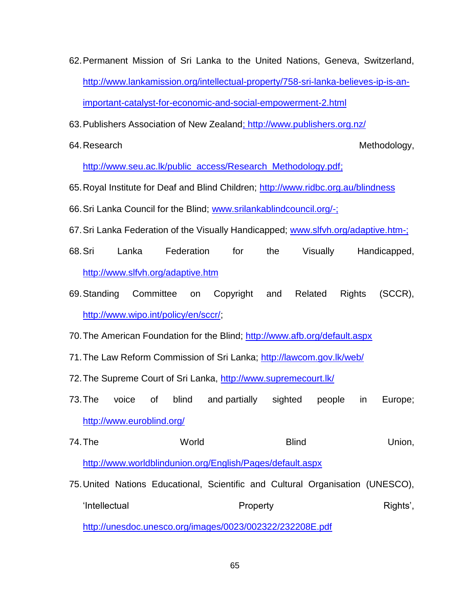- 62.Permanent Mission of Sri Lanka to the United Nations, Geneva, Switzerland, [http://www.lankamission.org/intellectual-property/758-sri-lanka-believes-ip-is-an](http://www.lankamission.org/intellectual-property/758-sri-lanka-believes-ip-is-an-important-catalyst-for-economic-and-social-empowerment-2.html)[important-catalyst-for-economic-and-social-empowerment-2.html](http://www.lankamission.org/intellectual-property/758-sri-lanka-believes-ip-is-an-important-catalyst-for-economic-and-social-empowerment-2.html)
- 63.Publishers Association of New Zealand;<http://www.publishers.org.nz/>
- 

64. Research **Methodology, Executed Structure Control** Control of Methodology,

[http://www.seu.ac.lk/public\\_access/Research\\_Methodology.pdf;](http://www.seu.ac.lk/public_access/Research_Methodology.pdf)

- 65.Royal Institute for Deaf and Blind Children;<http://www.ridbc.org.au/blindness>
- 66.Sri Lanka Council for the Blind; [www.srilankablindcouncil.org/-;](http://www.srilankablindcouncil.org/-)
- 67.Sri Lanka Federation of the Visually Handicapped; [www.slfvh.org/adaptive.htm-;](http://www.slfvh.org/adaptive.htm-)
- 68.Sri Lanka Federation for the Visually Handicapped, <http://www.slfvh.org/adaptive.htm>
- 69.Standing Committee on Copyright and Related Rights (SCCR), [http://www.wipo.int/policy/en/sccr/;](http://www.wipo.int/policy/en/sccr/)
- 70.The American Foundation for the Blind;<http://www.afb.org/default.aspx>
- 71.The Law Reform Commission of Sri Lanka;<http://lawcom.gov.lk/web/>
- 72.The Supreme Court of Sri Lanka,<http://www.supremecourt.lk/>
- 73.The voice of blind and partially sighted people in Europe; <http://www.euroblind.org/>
- 74.The World Blind Union, <http://www.worldblindunion.org/English/Pages/default.aspx>
- 75.United Nations Educational, Scientific and Cultural Organisation (UNESCO), 'Intellectual Property Property Rights', <http://unesdoc.unesco.org/images/0023/002322/232208E.pdf>